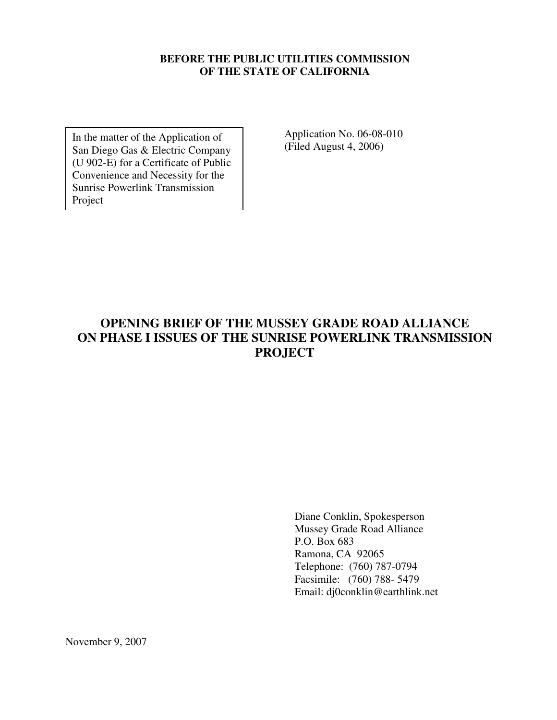#### **BEFORE THE PUBLIC UTILITIES COMMISSION OF THE STATE OF CALIFORNIA**

In the matter of the Application of San Diego Gas & Electric Company (U 902-E) for a Certificate of Public Convenience and Necessity for the Sunrise Powerlink Transmission Project

Application No. 06-08-010 (Filed August 4, 2006)

## **OPENING BRIEF OF THE MUSSEY GRADE ROAD ALLIANCE ON PHASE I ISSUES OF THE SUNRISE POWERLINK TRANSMISSION PROJECT**

Diane Conklin, Spokesperson Mussey Grade Road Alliance P.O. Box 683 Ramona, CA 92065 Telephone: (760) 787-0794 Facsimile: (760) 788- 5479 Email: dj0conklin@earthlink.net

November 9, 2007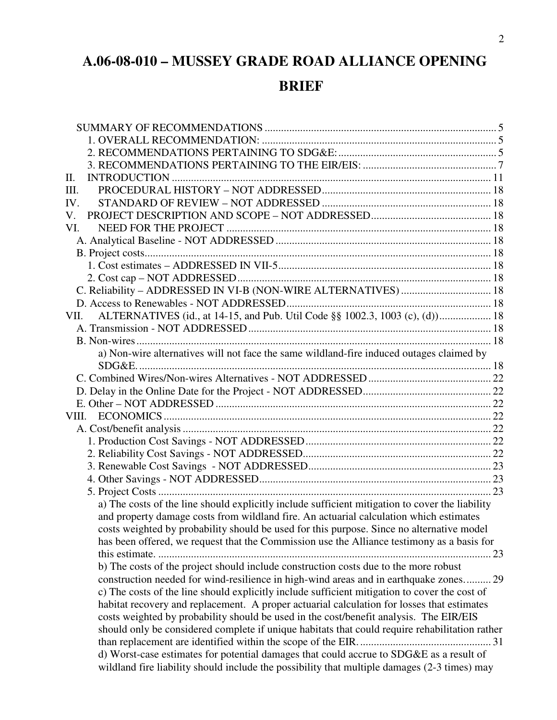# **A.06-08-010 – MUSSEY GRADE ROAD ALLIANCE OPENING**

# **BRIEF**

| Π.                                                                                                                                                                                        |  |
|-------------------------------------------------------------------------------------------------------------------------------------------------------------------------------------------|--|
| III.                                                                                                                                                                                      |  |
| IV.                                                                                                                                                                                       |  |
| V.                                                                                                                                                                                        |  |
| VI.                                                                                                                                                                                       |  |
|                                                                                                                                                                                           |  |
|                                                                                                                                                                                           |  |
|                                                                                                                                                                                           |  |
|                                                                                                                                                                                           |  |
| C. Reliability - ADDRESSED IN VI-B (NON-WIRE ALTERNATIVES)  18                                                                                                                            |  |
|                                                                                                                                                                                           |  |
| ALTERNATIVES (id., at 14-15, and Pub. Util Code §§ 1002.3, 1003 (c), (d)) 18<br>VII.                                                                                                      |  |
|                                                                                                                                                                                           |  |
|                                                                                                                                                                                           |  |
| a) Non-wire alternatives will not face the same wildland-fire induced outages claimed by                                                                                                  |  |
|                                                                                                                                                                                           |  |
|                                                                                                                                                                                           |  |
|                                                                                                                                                                                           |  |
|                                                                                                                                                                                           |  |
| VIII.                                                                                                                                                                                     |  |
|                                                                                                                                                                                           |  |
|                                                                                                                                                                                           |  |
|                                                                                                                                                                                           |  |
|                                                                                                                                                                                           |  |
|                                                                                                                                                                                           |  |
|                                                                                                                                                                                           |  |
| a) The costs of the line should explicitly include sufficient mitigation to cover the liability<br>and property damage costs from wildland fire. An actuarial calculation which estimates |  |
| costs weighted by probability should be used for this purpose. Since no alternative model<br>has been offered, we request that the Commission use the Alliance testimony as a basis for   |  |
| . 23                                                                                                                                                                                      |  |
| b) The costs of the project should include construction costs due to the more robust                                                                                                      |  |
| construction needed for wind-resilience in high-wind areas and in earthquake zones 29                                                                                                     |  |
|                                                                                                                                                                                           |  |
| c) The costs of the line should explicitly include sufficient mitigation to cover the cost of                                                                                             |  |
| habitat recovery and replacement. A proper actuarial calculation for losses that estimates                                                                                                |  |
| costs weighted by probability should be used in the cost/benefit analysis. The EIR/EIS                                                                                                    |  |
| should only be considered complete if unique habitats that could require rehabilitation rather                                                                                            |  |
|                                                                                                                                                                                           |  |
| d) Worst-case estimates for potential damages that could accrue to SDG&E as a result of<br>wildland fire liability should include the possibility that multiple damages (2-3 times) may   |  |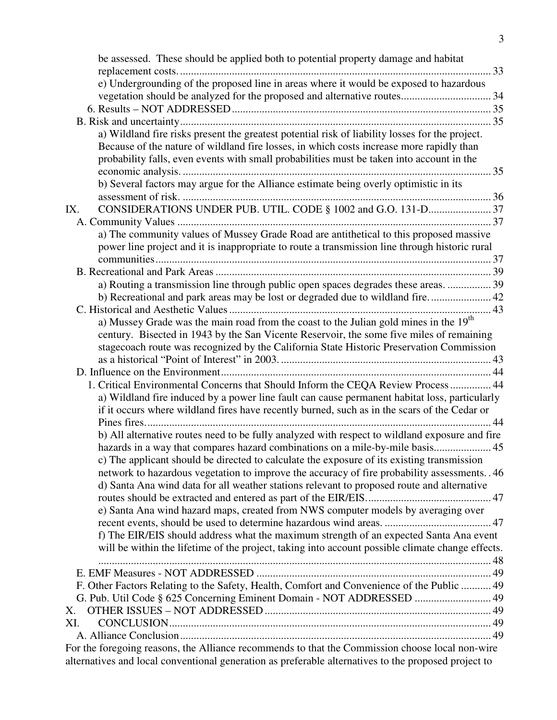| be assessed. These should be applied both to potential property damage and habitat                                                                                                                      | 33 |
|---------------------------------------------------------------------------------------------------------------------------------------------------------------------------------------------------------|----|
| e) Undergrounding of the proposed line in areas where it would be exposed to hazardous                                                                                                                  |    |
|                                                                                                                                                                                                         |    |
|                                                                                                                                                                                                         |    |
|                                                                                                                                                                                                         |    |
| a) Wildland fire risks present the greatest potential risk of liability losses for the project.                                                                                                         |    |
| Because of the nature of wildland fire losses, in which costs increase more rapidly than                                                                                                                |    |
| probability falls, even events with small probabilities must be taken into account in the                                                                                                               |    |
|                                                                                                                                                                                                         |    |
| b) Several factors may argue for the Alliance estimate being overly optimistic in its                                                                                                                   |    |
|                                                                                                                                                                                                         |    |
| CONSIDERATIONS UNDER PUB. UTIL. CODE § 1002 and G.O. 131-D 37<br>IX.                                                                                                                                    |    |
|                                                                                                                                                                                                         |    |
| a) The community values of Mussey Grade Road are antithetical to this proposed massive                                                                                                                  |    |
| power line project and it is inappropriate to route a transmission line through historic rural                                                                                                          |    |
|                                                                                                                                                                                                         |    |
|                                                                                                                                                                                                         |    |
| a) Routing a transmission line through public open spaces degrades these areas.  39                                                                                                                     |    |
|                                                                                                                                                                                                         |    |
|                                                                                                                                                                                                         |    |
| a) Mussey Grade was the main road from the coast to the Julian gold mines in the 19 <sup>th</sup>                                                                                                       |    |
| century. Bisected in 1943 by the San Vicente Reservoir, the some five miles of remaining<br>stagecoach route was recognized by the California State Historic Preservation Commission                    |    |
|                                                                                                                                                                                                         |    |
|                                                                                                                                                                                                         |    |
| 1. Critical Environmental Concerns that Should Inform the CEQA Review Process 44                                                                                                                        |    |
| a) Wildland fire induced by a power line fault can cause permanent habitat loss, particularly                                                                                                           |    |
| if it occurs where wildland fires have recently burned, such as in the scars of the Cedar or                                                                                                            |    |
|                                                                                                                                                                                                         |    |
| b) All alternative routes need to be fully analyzed with respect to wildland exposure and fire                                                                                                          |    |
| hazards in a way that compares hazard combinations on a mile-by-mile basis 45                                                                                                                           |    |
| c) The applicant should be directed to calculate the exposure of its existing transmission                                                                                                              |    |
| network to hazardous vegetation to improve the accuracy of fire probability assessments. 46                                                                                                             |    |
| d) Santa Ana wind data for all weather stations relevant to proposed route and alternative                                                                                                              |    |
|                                                                                                                                                                                                         |    |
| e) Santa Ana wind hazard maps, created from NWS computer models by averaging over                                                                                                                       |    |
|                                                                                                                                                                                                         |    |
| f) The EIR/EIS should address what the maximum strength of an expected Santa Ana event                                                                                                                  |    |
| will be within the lifetime of the project, taking into account possible climate change effects.                                                                                                        |    |
|                                                                                                                                                                                                         |    |
|                                                                                                                                                                                                         |    |
| F. Other Factors Relating to the Safety, Health, Comfort and Convenience of the Public  49                                                                                                              |    |
| G. Pub. Util Code § 625 Concerning Eminent Domain - NOT ADDRESSED  49                                                                                                                                   |    |
| Х.                                                                                                                                                                                                      |    |
| XI.                                                                                                                                                                                                     |    |
|                                                                                                                                                                                                         |    |
| For the foregoing reasons, the Alliance recommends to that the Commission choose local non-wire<br>alternatives and local conventional generation as preferable alternatives to the proposed project to |    |
|                                                                                                                                                                                                         |    |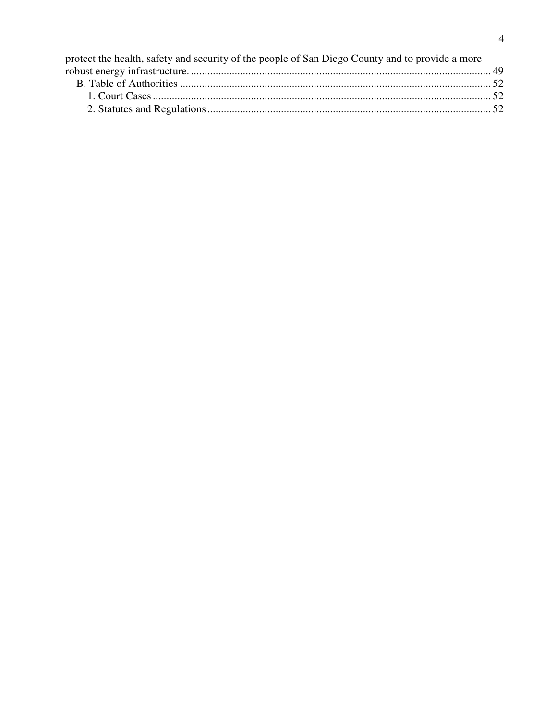| protect the health, safety and security of the people of San Diego County and to provide a more |  |
|-------------------------------------------------------------------------------------------------|--|
|                                                                                                 |  |
|                                                                                                 |  |
|                                                                                                 |  |
|                                                                                                 |  |
|                                                                                                 |  |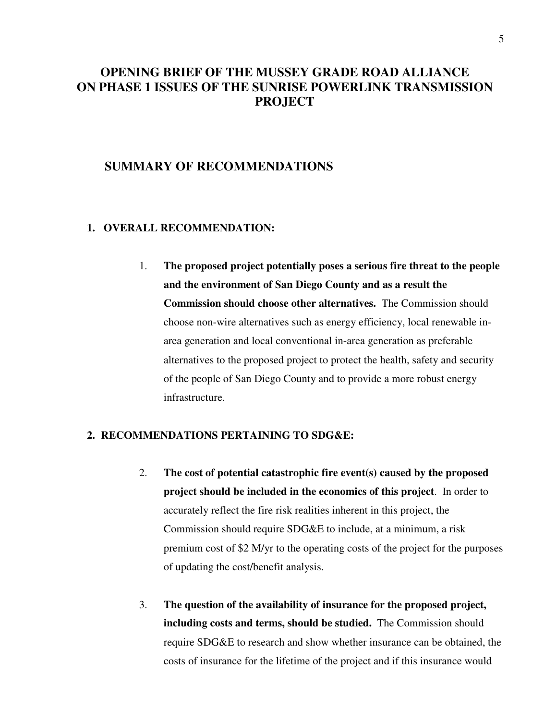## **OPENING BRIEF OF THE MUSSEY GRADE ROAD ALLIANCE ON PHASE 1 ISSUES OF THE SUNRISE POWERLINK TRANSMISSION PROJECT**

### **SUMMARY OF RECOMMENDATIONS**

#### **1. OVERALL RECOMMENDATION:**

1. **The proposed project potentially poses a serious fire threat to the people and the environment of San Diego County and as a result the Commission should choose other alternatives.** The Commission should choose non-wire alternatives such as energy efficiency, local renewable inarea generation and local conventional in-area generation as preferable alternatives to the proposed project to protect the health, safety and security of the people of San Diego County and to provide a more robust energy infrastructure.

#### **2. RECOMMENDATIONS PERTAINING TO SDG&E:**

- 2. **The cost of potential catastrophic fire event(s) caused by the proposed project should be included in the economics of this project**. In order to accurately reflect the fire risk realities inherent in this project, the Commission should require SDG&E to include, at a minimum, a risk premium cost of \$2 M/yr to the operating costs of the project for the purposes of updating the cost/benefit analysis.
- 3. **The question of the availability of insurance for the proposed project, including costs and terms, should be studied.** The Commission should require SDG&E to research and show whether insurance can be obtained, the costs of insurance for the lifetime of the project and if this insurance would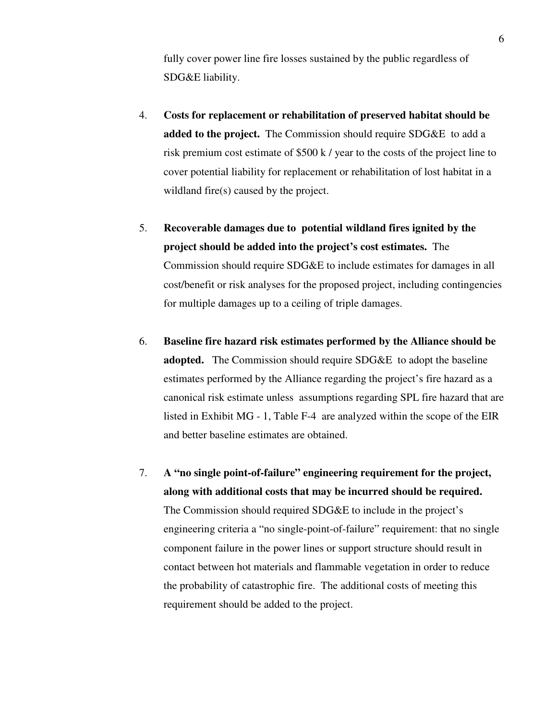fully cover power line fire losses sustained by the public regardless of SDG&E liability.

- 4. **Costs for replacement or rehabilitation of preserved habitat should be added to the project.** The Commission should require SDG&E to add a risk premium cost estimate of \$500 k / year to the costs of the project line to cover potential liability for replacement or rehabilitation of lost habitat in a wildland fire(s) caused by the project.
- 5. **Recoverable damages due to potential wildland fires ignited by the project should be added into the project's cost estimates.** The Commission should require SDG&E to include estimates for damages in all cost/benefit or risk analyses for the proposed project, including contingencies for multiple damages up to a ceiling of triple damages.
- 6. **Baseline fire hazard risk estimates performed by the Alliance should be adopted.** The Commission should require SDG&E to adopt the baseline estimates performed by the Alliance regarding the project's fire hazard as a canonical risk estimate unless assumptions regarding SPL fire hazard that are listed in Exhibit MG - 1, Table F-4 are analyzed within the scope of the EIR and better baseline estimates are obtained.
- 7. **A "no single point-of-failure" engineering requirement for the project, along with additional costs that may be incurred should be required.**  The Commission should required SDG&E to include in the project's engineering criteria a "no single-point-of-failure" requirement: that no single component failure in the power lines or support structure should result in contact between hot materials and flammable vegetation in order to reduce the probability of catastrophic fire. The additional costs of meeting this requirement should be added to the project.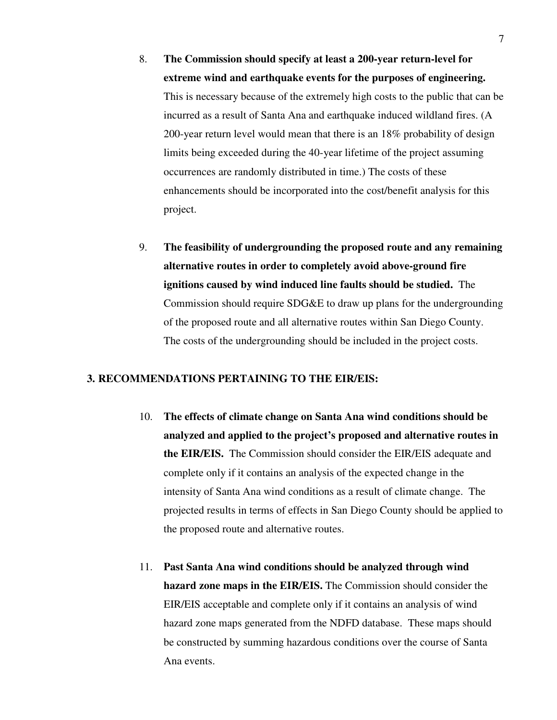- 8. **The Commission should specify at least a 200-year return-level for extreme wind and earthquake events for the purposes of engineering.** This is necessary because of the extremely high costs to the public that can be incurred as a result of Santa Ana and earthquake induced wildland fires. (A 200-year return level would mean that there is an 18% probability of design limits being exceeded during the 40-year lifetime of the project assuming occurrences are randomly distributed in time.) The costs of these enhancements should be incorporated into the cost/benefit analysis for this project.
- 9. **The feasibility of undergrounding the proposed route and any remaining alternative routes in order to completely avoid above-ground fire ignitions caused by wind induced line faults should be studied.** The Commission should require SDG&E to draw up plans for the undergrounding of the proposed route and all alternative routes within San Diego County. The costs of the undergrounding should be included in the project costs.

#### **3. RECOMMENDATIONS PERTAINING TO THE EIR/EIS:**

- 10. **The effects of climate change on Santa Ana wind conditions should be analyzed and applied to the project's proposed and alternative routes in the EIR/EIS.** The Commission should consider the EIR/EIS adequate and complete only if it contains an analysis of the expected change in the intensity of Santa Ana wind conditions as a result of climate change. The projected results in terms of effects in San Diego County should be applied to the proposed route and alternative routes.
- 11. **Past Santa Ana wind conditions should be analyzed through wind hazard zone maps in the EIR/EIS.** The Commission should consider the EIR/EIS acceptable and complete only if it contains an analysis of wind hazard zone maps generated from the NDFD database. These maps should be constructed by summing hazardous conditions over the course of Santa Ana events.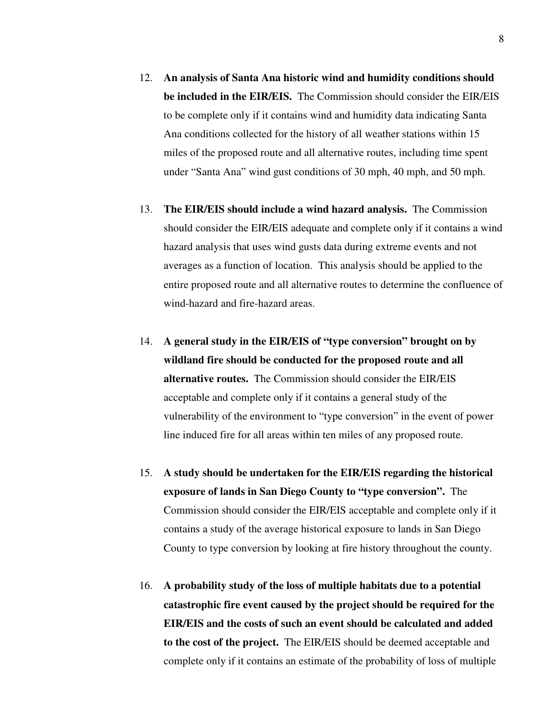- 12. **An analysis of Santa Ana historic wind and humidity conditions should be included in the EIR/EIS.** The Commission should consider the EIR/EIS to be complete only if it contains wind and humidity data indicating Santa Ana conditions collected for the history of all weather stations within 15 miles of the proposed route and all alternative routes, including time spent under "Santa Ana" wind gust conditions of 30 mph, 40 mph, and 50 mph.
- 13. **The EIR/EIS should include a wind hazard analysis.** The Commission should consider the EIR/EIS adequate and complete only if it contains a wind hazard analysis that uses wind gusts data during extreme events and not averages as a function of location. This analysis should be applied to the entire proposed route and all alternative routes to determine the confluence of wind-hazard and fire-hazard areas.
- 14. **A general study in the EIR/EIS of "type conversion" brought on by wildland fire should be conducted for the proposed route and all alternative routes.** The Commission should consider the EIR/EIS acceptable and complete only if it contains a general study of the vulnerability of the environment to "type conversion" in the event of power line induced fire for all areas within ten miles of any proposed route.
- 15. **A study should be undertaken for the EIR/EIS regarding the historical exposure of lands in San Diego County to "type conversion".** The Commission should consider the EIR/EIS acceptable and complete only if it contains a study of the average historical exposure to lands in San Diego County to type conversion by looking at fire history throughout the county.
- 16. **A probability study of the loss of multiple habitats due to a potential catastrophic fire event caused by the project should be required for the EIR/EIS and the costs of such an event should be calculated and added to the cost of the project.** The EIR/EIS should be deemed acceptable and complete only if it contains an estimate of the probability of loss of multiple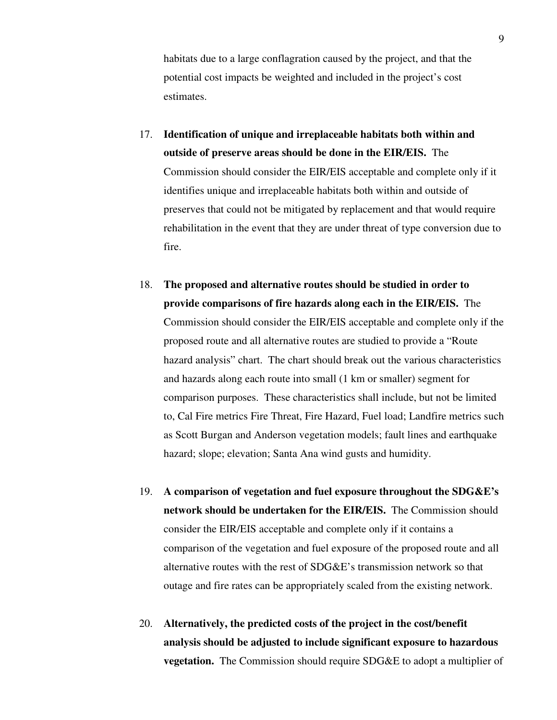habitats due to a large conflagration caused by the project, and that the potential cost impacts be weighted and included in the project's cost estimates.

- 17. **Identification of unique and irreplaceable habitats both within and outside of preserve areas should be done in the EIR/EIS.** The Commission should consider the EIR/EIS acceptable and complete only if it identifies unique and irreplaceable habitats both within and outside of preserves that could not be mitigated by replacement and that would require rehabilitation in the event that they are under threat of type conversion due to fire.
- 18. **The proposed and alternative routes should be studied in order to provide comparisons of fire hazards along each in the EIR/EIS.** The Commission should consider the EIR/EIS acceptable and complete only if the proposed route and all alternative routes are studied to provide a "Route hazard analysis" chart. The chart should break out the various characteristics and hazards along each route into small (1 km or smaller) segment for comparison purposes. These characteristics shall include, but not be limited to, Cal Fire metrics Fire Threat, Fire Hazard, Fuel load; Landfire metrics such as Scott Burgan and Anderson vegetation models; fault lines and earthquake hazard; slope; elevation; Santa Ana wind gusts and humidity.
- 19. **A comparison of vegetation and fuel exposure throughout the SDG&E's network should be undertaken for the EIR/EIS.** The Commission should consider the EIR/EIS acceptable and complete only if it contains a comparison of the vegetation and fuel exposure of the proposed route and all alternative routes with the rest of SDG&E's transmission network so that outage and fire rates can be appropriately scaled from the existing network.
- 20. **Alternatively, the predicted costs of the project in the cost/benefit analysis should be adjusted to include significant exposure to hazardous vegetation.** The Commission should require SDG&E to adopt a multiplier of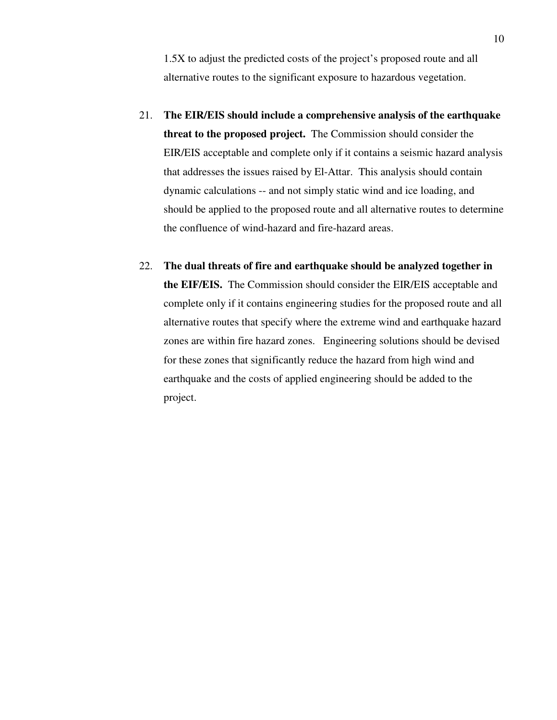1.5X to adjust the predicted costs of the project's proposed route and all alternative routes to the significant exposure to hazardous vegetation.

- 21. **The EIR/EIS should include a comprehensive analysis of the earthquake threat to the proposed project.** The Commission should consider the EIR/EIS acceptable and complete only if it contains a seismic hazard analysis that addresses the issues raised by El-Attar. This analysis should contain dynamic calculations -- and not simply static wind and ice loading, and should be applied to the proposed route and all alternative routes to determine the confluence of wind-hazard and fire-hazard areas.
- 22. **The dual threats of fire and earthquake should be analyzed together in the EIF/EIS.** The Commission should consider the EIR/EIS acceptable and complete only if it contains engineering studies for the proposed route and all alternative routes that specify where the extreme wind and earthquake hazard zones are within fire hazard zones. Engineering solutions should be devised for these zones that significantly reduce the hazard from high wind and earthquake and the costs of applied engineering should be added to the project.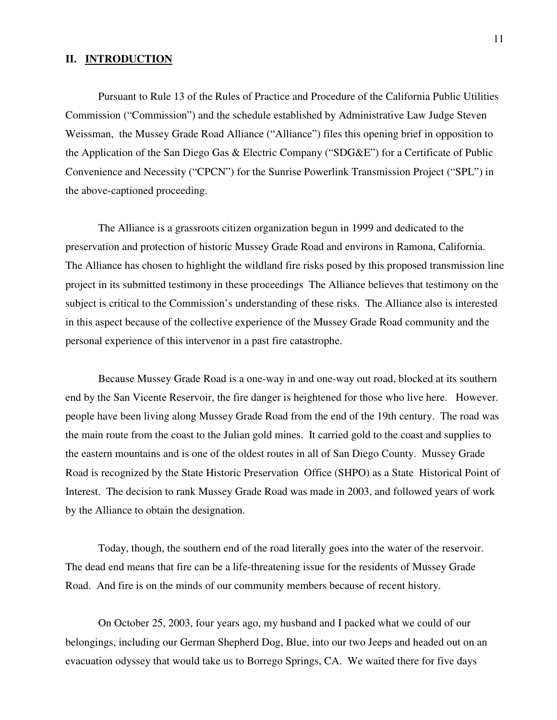#### **II. INTRODUCTION**

Pursuant to Rule 13 of the Rules of Practice and Procedure of the California Public Utilities Commission ("Commission") and the schedule established by Administrative Law Judge Steven Weissman, the Mussey Grade Road Alliance ("Alliance") files this opening brief in opposition to the Application of the San Diego Gas & Electric Company ("SDG&E") for a Certificate of Public Convenience and Necessity ("CPCN") for the Sunrise Powerlink Transmission Project ("SPL") in the above-captioned proceeding.

The Alliance is a grassroots citizen organization begun in 1999 and dedicated to the preservation and protection of historic Mussey Grade Road and environs in Ramona, California. The Alliance has chosen to highlight the wildland fire risks posed by this proposed transmission line project in its submitted testimony in these proceedings The Alliance believes that testimony on the subject is critical to the Commission's understanding of these risks. The Alliance also is interested in this aspect because of the collective experience of the Mussey Grade Road community and the personal experience of this intervenor in a past fire catastrophe.

 Because Mussey Grade Road is a one-way in and one-way out road, blocked at its southern end by the San Vicente Reservoir, the fire danger is heightened for those who live here. However. people have been living along Mussey Grade Road from the end of the 19th century. The road was the main route from the coast to the Julian gold mines. It carried gold to the coast and supplies to the eastern mountains and is one of the oldest routes in all of San Diego County. Mussey Grade Road is recognized by the State Historic Preservation Office (SHPO) as a State Historical Point of Interest. The decision to rank Mussey Grade Road was made in 2003, and followed years of work by the Alliance to obtain the designation.

Today, though, the southern end of the road literally goes into the water of the reservoir. The dead end means that fire can be a life-threatening issue for the residents of Mussey Grade Road. And fire is on the minds of our community members because of recent history.

On October 25, 2003, four years ago, my husband and I packed what we could of our belongings, including our German Shepherd Dog, Blue, into our two Jeeps and headed out on an evacuation odyssey that would take us to Borrego Springs, CA. We waited there for five days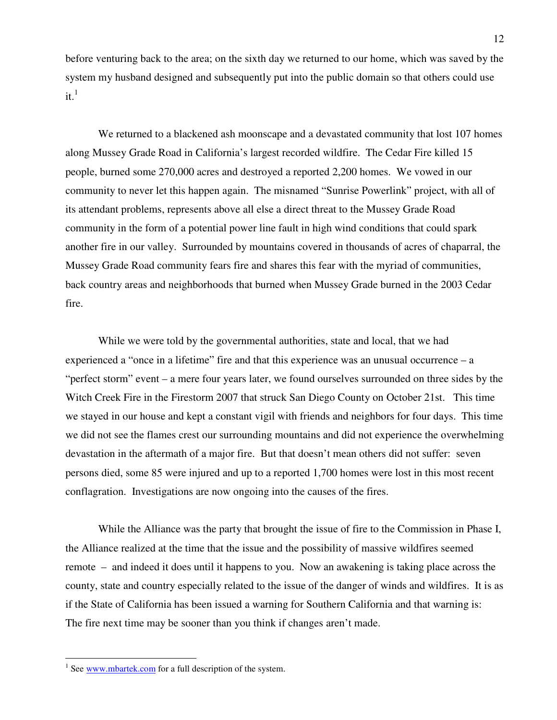before venturing back to the area; on the sixth day we returned to our home, which was saved by the system my husband designed and subsequently put into the public domain so that others could use it. $\frac{1}{1}$ 

We returned to a blackened ash moonscape and a devastated community that lost 107 homes along Mussey Grade Road in California's largest recorded wildfire. The Cedar Fire killed 15 people, burned some 270,000 acres and destroyed a reported 2,200 homes. We vowed in our community to never let this happen again. The misnamed "Sunrise Powerlink" project, with all of its attendant problems, represents above all else a direct threat to the Mussey Grade Road community in the form of a potential power line fault in high wind conditions that could spark another fire in our valley. Surrounded by mountains covered in thousands of acres of chaparral, the Mussey Grade Road community fears fire and shares this fear with the myriad of communities, back country areas and neighborhoods that burned when Mussey Grade burned in the 2003 Cedar fire.

While we were told by the governmental authorities, state and local, that we had experienced a "once in a lifetime" fire and that this experience was an unusual occurrence – a "perfect storm" event – a mere four years later, we found ourselves surrounded on three sides by the Witch Creek Fire in the Firestorm 2007 that struck San Diego County on October 21st. This time we stayed in our house and kept a constant vigil with friends and neighbors for four days. This time we did not see the flames crest our surrounding mountains and did not experience the overwhelming devastation in the aftermath of a major fire. But that doesn't mean others did not suffer: seven persons died, some 85 were injured and up to a reported 1,700 homes were lost in this most recent conflagration. Investigations are now ongoing into the causes of the fires.

While the Alliance was the party that brought the issue of fire to the Commission in Phase I, the Alliance realized at the time that the issue and the possibility of massive wildfires seemed remote – and indeed it does until it happens to you. Now an awakening is taking place across the county, state and country especially related to the issue of the danger of winds and wildfires. It is as if the State of California has been issued a warning for Southern California and that warning is: The fire next time may be sooner than you think if changes aren't made.

<sup>&</sup>lt;sup>1</sup> See  $\frac{www.mbartek.com}{www.mbartek.com}$  for a full description of the system.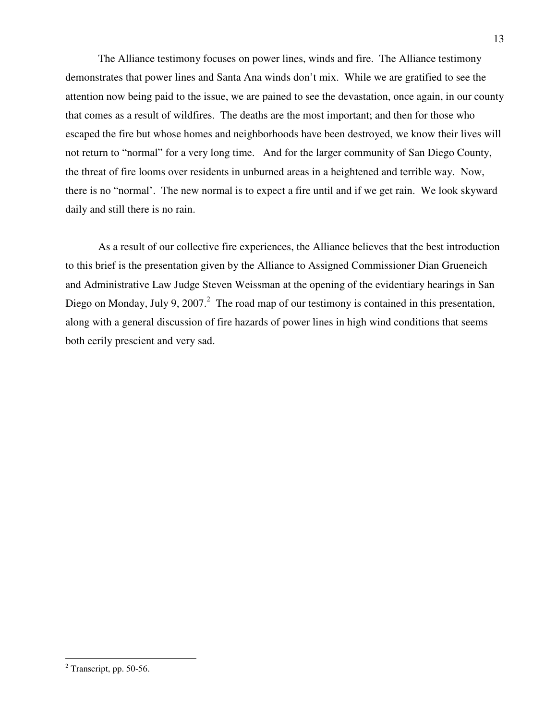The Alliance testimony focuses on power lines, winds and fire. The Alliance testimony demonstrates that power lines and Santa Ana winds don't mix. While we are gratified to see the attention now being paid to the issue, we are pained to see the devastation, once again, in our county that comes as a result of wildfires. The deaths are the most important; and then for those who escaped the fire but whose homes and neighborhoods have been destroyed, we know their lives will not return to "normal" for a very long time. And for the larger community of San Diego County, the threat of fire looms over residents in unburned areas in a heightened and terrible way. Now, there is no "normal'. The new normal is to expect a fire until and if we get rain. We look skyward daily and still there is no rain.

As a result of our collective fire experiences, the Alliance believes that the best introduction to this brief is the presentation given by the Alliance to Assigned Commissioner Dian Grueneich and Administrative Law Judge Steven Weissman at the opening of the evidentiary hearings in San Diego on Monday, July 9, 2007.<sup>2</sup> The road map of our testimony is contained in this presentation, along with a general discussion of fire hazards of power lines in high wind conditions that seems both eerily prescient and very sad.

 2 Transcript, pp. 50-56.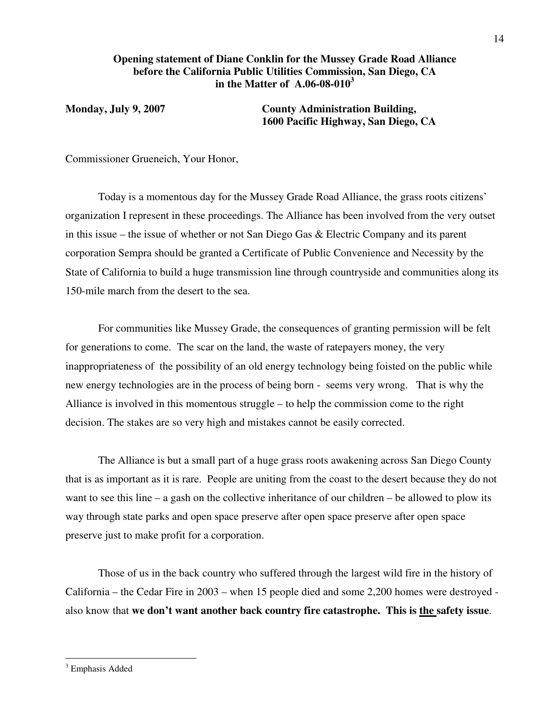#### **Opening statement of Diane Conklin for the Mussey Grade Road Alliance before the California Public Utilities Commission, San Diego, CA in the Matter of A.06-08-010<sup>3</sup>**

**Monday, July 9, 2007 County Administration Building, 1600 Pacific Highway, San Diego, CA** 

Commissioner Grueneich, Your Honor,

 Today is a momentous day for the Mussey Grade Road Alliance, the grass roots citizens' organization I represent in these proceedings. The Alliance has been involved from the very outset in this issue – the issue of whether or not San Diego Gas & Electric Company and its parent corporation Sempra should be granted a Certificate of Public Convenience and Necessity by the State of California to build a huge transmission line through countryside and communities along its 150-mile march from the desert to the sea.

 For communities like Mussey Grade, the consequences of granting permission will be felt for generations to come. The scar on the land, the waste of ratepayers money, the very inappropriateness of the possibility of an old energy technology being foisted on the public while new energy technologies are in the process of being born - seems very wrong. That is why the Alliance is involved in this momentous struggle – to help the commission come to the right decision. The stakes are so very high and mistakes cannot be easily corrected.

 The Alliance is but a small part of a huge grass roots awakening across San Diego County that is as important as it is rare. People are uniting from the coast to the desert because they do not want to see this line – a gash on the collective inheritance of our children – be allowed to plow its way through state parks and open space preserve after open space preserve after open space preserve just to make profit for a corporation.

 Those of us in the back country who suffered through the largest wild fire in the history of California – the Cedar Fire in 2003 – when 15 people died and some 2,200 homes were destroyed also know that **we don't want another back country fire catastrophe. This is the safety issue**.

<sup>&</sup>lt;sup>3</sup> Emphasis Added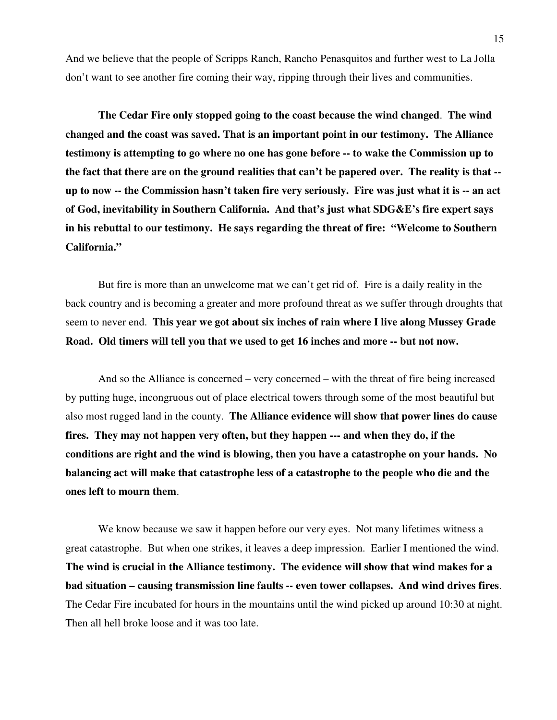And we believe that the people of Scripps Ranch, Rancho Penasquitos and further west to La Jolla don't want to see another fire coming their way, ripping through their lives and communities.

**The Cedar Fire only stopped going to the coast because the wind changed**. **The wind changed and the coast was saved. That is an important point in our testimony. The Alliance testimony is attempting to go where no one has gone before -- to wake the Commission up to the fact that there are on the ground realities that can't be papered over. The reality is that - up to now -- the Commission hasn't taken fire very seriously. Fire was just what it is -- an act of God, inevitability in Southern California. And that's just what SDG&E's fire expert says in his rebuttal to our testimony. He says regarding the threat of fire: "Welcome to Southern California."** 

 But fire is more than an unwelcome mat we can't get rid of. Fire is a daily reality in the back country and is becoming a greater and more profound threat as we suffer through droughts that seem to never end. **This year we got about six inches of rain where I live along Mussey Grade Road. Old timers will tell you that we used to get 16 inches and more -- but not now.** 

 And so the Alliance is concerned – very concerned – with the threat of fire being increased by putting huge, incongruous out of place electrical towers through some of the most beautiful but also most rugged land in the county. **The Alliance evidence will show that power lines do cause fires. They may not happen very often, but they happen --- and when they do, if the conditions are right and the wind is blowing, then you have a catastrophe on your hands. No balancing act will make that catastrophe less of a catastrophe to the people who die and the ones left to mourn them**.

 We know because we saw it happen before our very eyes. Not many lifetimes witness a great catastrophe. But when one strikes, it leaves a deep impression. Earlier I mentioned the wind. **The wind is crucial in the Alliance testimony. The evidence will show that wind makes for a bad situation – causing transmission line faults -- even tower collapses. And wind drives fires**. The Cedar Fire incubated for hours in the mountains until the wind picked up around 10:30 at night. Then all hell broke loose and it was too late.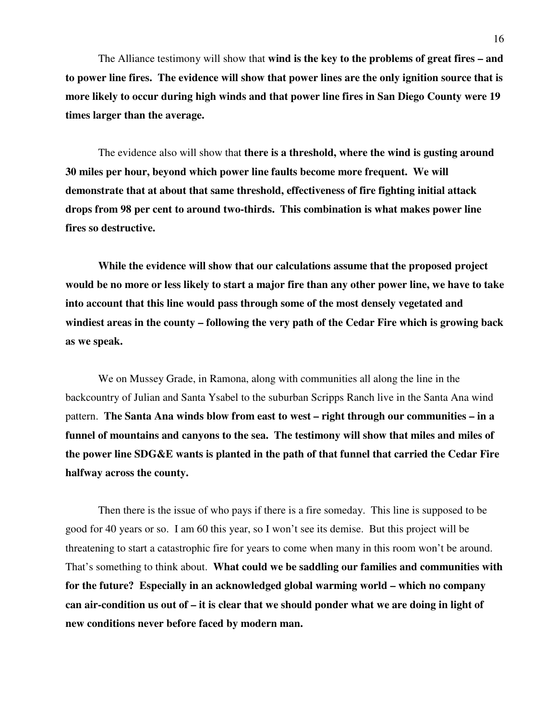The Alliance testimony will show that **wind is the key to the problems of great fires – and to power line fires. The evidence will show that power lines are the only ignition source that is more likely to occur during high winds and that power line fires in San Diego County were 19 times larger than the average.** 

 The evidence also will show that **there is a threshold, where the wind is gusting around 30 miles per hour, beyond which power line faults become more frequent. We will demonstrate that at about that same threshold, effectiveness of fire fighting initial attack drops from 98 per cent to around two-thirds. This combination is what makes power line fires so destructive.** 

**While the evidence will show that our calculations assume that the proposed project would be no more or less likely to start a major fire than any other power line, we have to take into account that this line would pass through some of the most densely vegetated and windiest areas in the county – following the very path of the Cedar Fire which is growing back as we speak.** 

 We on Mussey Grade, in Ramona, along with communities all along the line in the backcountry of Julian and Santa Ysabel to the suburban Scripps Ranch live in the Santa Ana wind pattern. **The Santa Ana winds blow from east to west – right through our communities – in a funnel of mountains and canyons to the sea. The testimony will show that miles and miles of the power line SDG&E wants is planted in the path of that funnel that carried the Cedar Fire halfway across the county.** 

 Then there is the issue of who pays if there is a fire someday. This line is supposed to be good for 40 years or so. I am 60 this year, so I won't see its demise. But this project will be threatening to start a catastrophic fire for years to come when many in this room won't be around. That's something to think about. **What could we be saddling our families and communities with for the future? Especially in an acknowledged global warming world – which no company can air-condition us out of – it is clear that we should ponder what we are doing in light of new conditions never before faced by modern man.**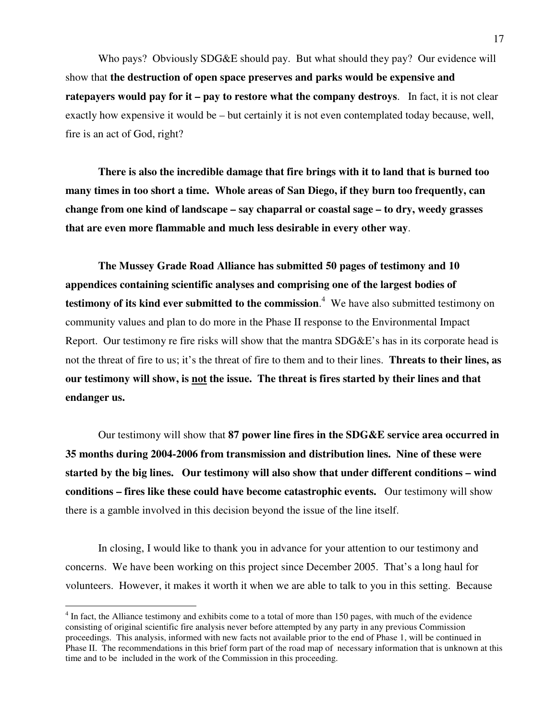Who pays? Obviously SDG&E should pay. But what should they pay? Our evidence will show that **the destruction of open space preserves and parks would be expensive and ratepayers would pay for it – pay to restore what the company destroys**. In fact, it is not clear exactly how expensive it would be – but certainly it is not even contemplated today because, well, fire is an act of God, right?

**There is also the incredible damage that fire brings with it to land that is burned too many times in too short a time. Whole areas of San Diego, if they burn too frequently, can change from one kind of landscape – say chaparral or coastal sage – to dry, weedy grasses that are even more flammable and much less desirable in every other way**.

**The Mussey Grade Road Alliance has submitted 50 pages of testimony and 10 appendices containing scientific analyses and comprising one of the largest bodies of testimony of its kind ever submitted to the commission**. 4 We have also submitted testimony on community values and plan to do more in the Phase II response to the Environmental Impact Report. Our testimony re fire risks will show that the mantra SDG&E's has in its corporate head is not the threat of fire to us; it's the threat of fire to them and to their lines. **Threats to their lines, as our testimony will show, is not the issue. The threat is fires started by their lines and that endanger us.**

 Our testimony will show that **87 power line fires in the SDG&E service area occurred in 35 months during 2004-2006 from transmission and distribution lines. Nine of these were started by the big lines. Our testimony will also show that under different conditions – wind conditions – fires like these could have become catastrophic events.** Our testimony will show there is a gamble involved in this decision beyond the issue of the line itself.

 In closing, I would like to thank you in advance for your attention to our testimony and concerns. We have been working on this project since December 2005. That's a long haul for volunteers. However, it makes it worth it when we are able to talk to you in this setting. Because

 $4$  In fact, the Alliance testimony and exhibits come to a total of more than 150 pages, with much of the evidence consisting of original scientific fire analysis never before attempted by any party in any previous Commission proceedings. This analysis, informed with new facts not available prior to the end of Phase 1, will be continued in Phase II. The recommendations in this brief form part of the road map of necessary information that is unknown at this time and to be included in the work of the Commission in this proceeding.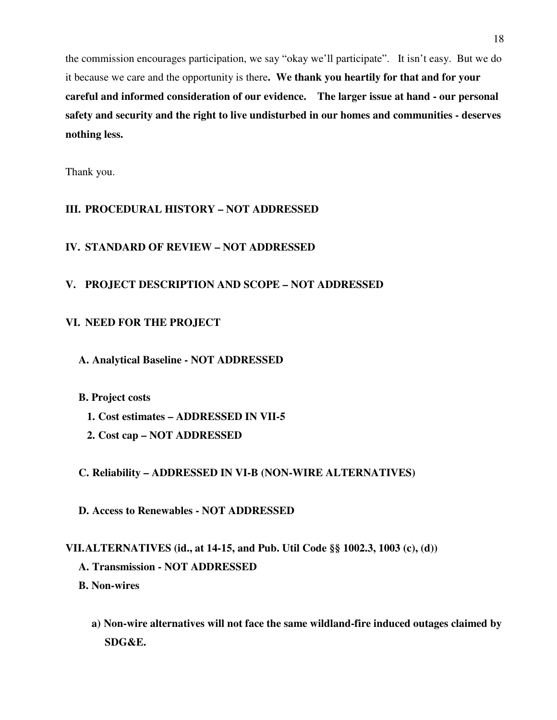the commission encourages participation, we say "okay we'll participate". It isn't easy. But we do it because we care and the opportunity is there**. We thank you heartily for that and for your careful and informed consideration of our evidence. The larger issue at hand - our personal safety and security and the right to live undisturbed in our homes and communities - deserves nothing less.** 

Thank you.

### **III. PROCEDURAL HISTORY – NOT ADDRESSED**

#### **IV. STANDARD OF REVIEW – NOT ADDRESSED**

### **V. PROJECT DESCRIPTION AND SCOPE – NOT ADDRESSED**

#### **VI. NEED FOR THE PROJECT**

- **A. Analytical Baseline NOT ADDRESSED**
- **B. Project costs** 
	- **1. Cost estimates ADDRESSED IN VII-5**
	- **2. Cost cap NOT ADDRESSED**

#### **C. Reliability – ADDRESSED IN VI-B (NON-WIRE ALTERNATIVES)**

**D. Access to Renewables - NOT ADDRESSED** 

### **VII.ALTERNATIVES (id., at 14-15, and Pub. Util Code §§ 1002.3, 1003 (c), (d))**

- **A. Transmission NOT ADDRESSED**
- **B. Non-wires** 
	- **a) Non-wire alternatives will not face the same wildland-fire induced outages claimed by SDG&E.**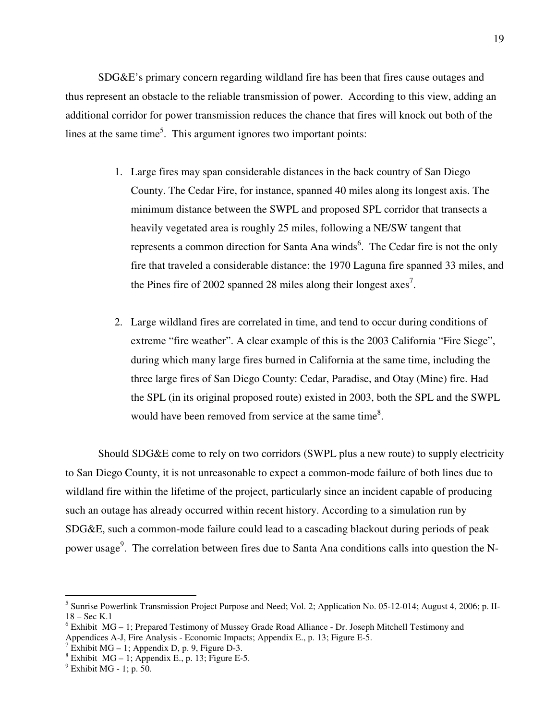SDG&E's primary concern regarding wildland fire has been that fires cause outages and thus represent an obstacle to the reliable transmission of power. According to this view, adding an additional corridor for power transmission reduces the chance that fires will knock out both of the lines at the same time<sup>5</sup>. This argument ignores two important points:

- 1. Large fires may span considerable distances in the back country of San Diego County. The Cedar Fire, for instance, spanned 40 miles along its longest axis. The minimum distance between the SWPL and proposed SPL corridor that transects a heavily vegetated area is roughly 25 miles, following a NE/SW tangent that represents a common direction for Santa Ana winds<sup>6</sup>. The Cedar fire is not the only fire that traveled a considerable distance: the 1970 Laguna fire spanned 33 miles, and the Pines fire of 2002 spanned 28 miles along their longest  $axes^7$ .
- 2. Large wildland fires are correlated in time, and tend to occur during conditions of extreme "fire weather". A clear example of this is the 2003 California "Fire Siege", during which many large fires burned in California at the same time, including the three large fires of San Diego County: Cedar, Paradise, and Otay (Mine) fire. Had the SPL (in its original proposed route) existed in 2003, both the SPL and the SWPL would have been removed from service at the same time<sup>8</sup>.

Should SDG&E come to rely on two corridors (SWPL plus a new route) to supply electricity to San Diego County, it is not unreasonable to expect a common-mode failure of both lines due to wildland fire within the lifetime of the project, particularly since an incident capable of producing such an outage has already occurred within recent history. According to a simulation run by SDG&E, such a common-mode failure could lead to a cascading blackout during periods of peak power usage<sup>9</sup>. The correlation between fires due to Santa Ana conditions calls into question the N-

<sup>&</sup>lt;sup>5</sup> Sunrise Powerlink Transmission Project Purpose and Need; Vol. 2; Application No. 05-12-014; August 4, 2006; p. II-18 – Sec K.1

<sup>&</sup>lt;sup>6</sup> Exhibit MG – 1; Prepared Testimony of Mussey Grade Road Alliance - Dr. Joseph Mitchell Testimony and Appendices A-J, Fire Analysis - Economic Impacts; Appendix E., p. 13; Figure E-5.<br><sup>7</sup> Exhibit MG – 1; Appendix D, p. 9, Figure D-3.<br><sup>8</sup> Exhibit MG – 1; Appendix E., p. 13; Figure E-5.

 $9$  Exhibit MG - 1; p. 50.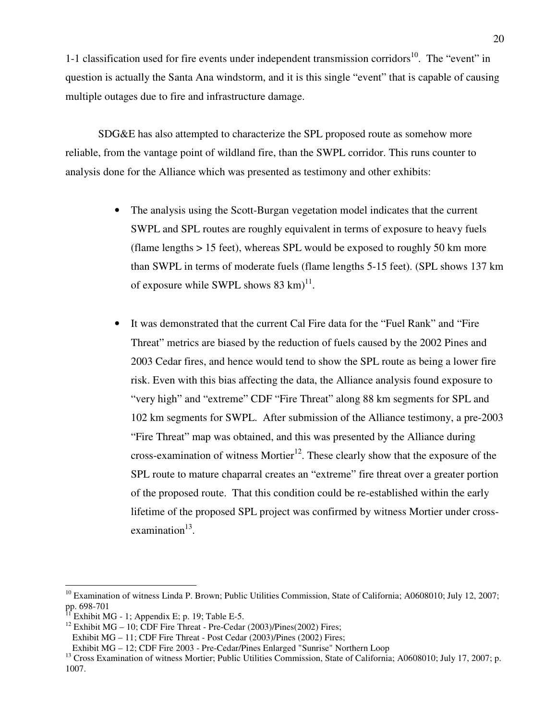1-1 classification used for fire events under independent transmission corridors<sup>10</sup>. The "event" in question is actually the Santa Ana windstorm, and it is this single "event" that is capable of causing multiple outages due to fire and infrastructure damage.

SDG&E has also attempted to characterize the SPL proposed route as somehow more reliable, from the vantage point of wildland fire, than the SWPL corridor. This runs counter to analysis done for the Alliance which was presented as testimony and other exhibits:

- The analysis using the Scott-Burgan vegetation model indicates that the current SWPL and SPL routes are roughly equivalent in terms of exposure to heavy fuels (flame lengths > 15 feet), whereas SPL would be exposed to roughly 50 km more than SWPL in terms of moderate fuels (flame lengths 5-15 feet). (SPL shows 137 km of exposure while SWPL shows  $83 \text{ km}$ <sup>11</sup>.
- It was demonstrated that the current Cal Fire data for the "Fuel Rank" and "Fire Threat" metrics are biased by the reduction of fuels caused by the 2002 Pines and 2003 Cedar fires, and hence would tend to show the SPL route as being a lower fire risk. Even with this bias affecting the data, the Alliance analysis found exposure to "very high" and "extreme" CDF "Fire Threat" along 88 km segments for SPL and 102 km segments for SWPL. After submission of the Alliance testimony, a pre-2003 "Fire Threat" map was obtained, and this was presented by the Alliance during cross-examination of witness Mortier<sup>12</sup>. These clearly show that the exposure of the SPL route to mature chaparral creates an "extreme" fire threat over a greater portion of the proposed route. That this condition could be re-established within the early lifetime of the proposed SPL project was confirmed by witness Mortier under cross $examination<sup>13</sup>$ .

<sup>&</sup>lt;sup>10</sup> Examination of witness Linda P. Brown; Public Utilities Commission, State of California; A0608010; July 12, 2007;  $\frac{1}{11}$  pp. 698-701

Exhibit MG - 1; Appendix E; p. 19; Table E-5.

<sup>&</sup>lt;sup>12</sup> Exhibit MG – 10; CDF Fire Threat - Pre-Cedar (2003)/Pines(2002) Fires;

Exhibit MG – 11; CDF Fire Threat - Post Cedar (2003)/Pines (2002) Fires;

Exhibit MG – 12; CDF Fire 2003 - Pre-Cedar/Pines Enlarged "Sunrise" Northern Loop

<sup>&</sup>lt;sup>13</sup> Cross Examination of witness Mortier; Public Utilities Commission, State of California; A0608010; July 17, 2007; p. 1007.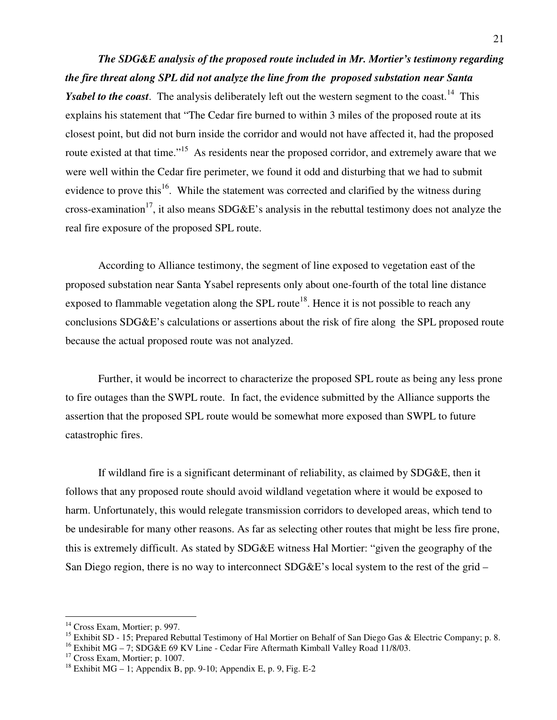*The SDG&E analysis of the proposed route included in Mr. Mortier's testimony regarding the fire threat along SPL did not analyze the line from the proposed substation near Santa Ysabel to the coast*. The analysis deliberately left out the western segment to the coast.<sup>14</sup> This explains his statement that "The Cedar fire burned to within 3 miles of the proposed route at its closest point, but did not burn inside the corridor and would not have affected it, had the proposed route existed at that time."<sup>15</sup> As residents near the proposed corridor, and extremely aware that we were well within the Cedar fire perimeter, we found it odd and disturbing that we had to submit evidence to prove this<sup>16</sup>. While the statement was corrected and clarified by the witness during cross-examination<sup>17</sup>, it also means SDG&E's analysis in the rebuttal testimony does not analyze the real fire exposure of the proposed SPL route.

According to Alliance testimony, the segment of line exposed to vegetation east of the proposed substation near Santa Ysabel represents only about one-fourth of the total line distance exposed to flammable vegetation along the SPL route<sup>18</sup>. Hence it is not possible to reach any conclusions SDG&E's calculations or assertions about the risk of fire along the SPL proposed route because the actual proposed route was not analyzed.

Further, it would be incorrect to characterize the proposed SPL route as being any less prone to fire outages than the SWPL route. In fact, the evidence submitted by the Alliance supports the assertion that the proposed SPL route would be somewhat more exposed than SWPL to future catastrophic fires.

If wildland fire is a significant determinant of reliability, as claimed by SDG&E, then it follows that any proposed route should avoid wildland vegetation where it would be exposed to harm. Unfortunately, this would relegate transmission corridors to developed areas, which tend to be undesirable for many other reasons. As far as selecting other routes that might be less fire prone, this is extremely difficult. As stated by SDG&E witness Hal Mortier: "given the geography of the San Diego region, there is no way to interconnect  $SDG\&E$ 's local system to the rest of the grid –

<sup>&</sup>lt;sup>14</sup> Cross Exam, Mortier; p. 997.

<sup>&</sup>lt;sup>15</sup> Exhibit SD - 15; Prepared Rebuttal Testimony of Hal Mortier on Behalf of San Diego Gas & Electric Company; p. 8.

<sup>&</sup>lt;sup>16</sup> Exhibit MG – 7; SDG&E 69 KV Line - Cedar Fire Aftermath Kimball Valley Road 11/8/03.

<sup>&</sup>lt;sup>17</sup> Cross Exam, Mortier; p. 1007.

<sup>&</sup>lt;sup>18</sup> Exhibit MG – 1; Appendix B, pp. 9-10; Appendix E, p. 9, Fig. E-2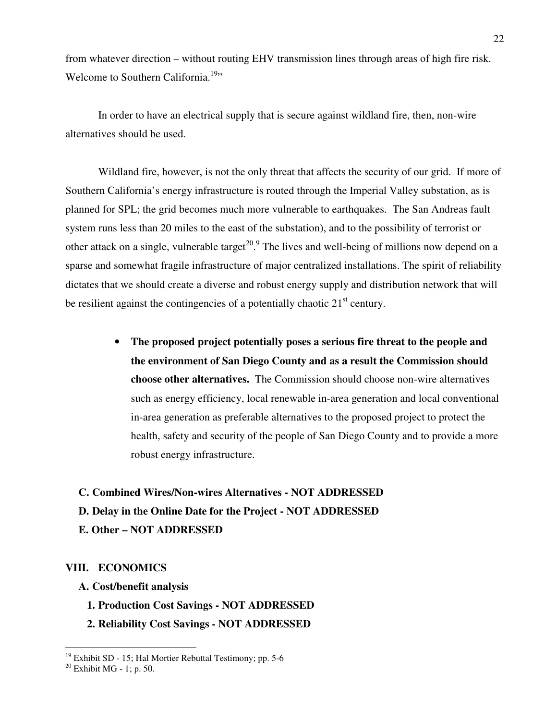from whatever direction – without routing EHV transmission lines through areas of high fire risk. Welcome to Southern California.<sup>19</sup>"

In order to have an electrical supply that is secure against wildland fire, then, non-wire alternatives should be used.

Wildland fire, however, is not the only threat that affects the security of our grid. If more of Southern California's energy infrastructure is routed through the Imperial Valley substation, as is planned for SPL; the grid becomes much more vulnerable to earthquakes. The San Andreas fault system runs less than 20 miles to the east of the substation), and to the possibility of terrorist or other attack on a single, vulnerable target<sup>20 o</sup>. The lives and well-being of millions now depend on a sparse and somewhat fragile infrastructure of major centralized installations. The spirit of reliability dictates that we should create a diverse and robust energy supply and distribution network that will be resilient against the contingencies of a potentially chaotic  $21<sup>st</sup>$  century.

> • **The proposed project potentially poses a serious fire threat to the people and the environment of San Diego County and as a result the Commission should choose other alternatives.** The Commission should choose non-wire alternatives such as energy efficiency, local renewable in-area generation and local conventional in-area generation as preferable alternatives to the proposed project to protect the health, safety and security of the people of San Diego County and to provide a more robust energy infrastructure.

#### **C. Combined Wires/Non-wires Alternatives - NOT ADDRESSED**

#### **D. Delay in the Online Date for the Project - NOT ADDRESSED**

**E. Other – NOT ADDRESSED** 

#### **VIII. ECONOMICS**

- **A. Cost/benefit analysis** 
	- **1. Production Cost Savings NOT ADDRESSED**
	- **2. Reliability Cost Savings NOT ADDRESSED**

 $19$  Exhibit SD - 15; Hal Mortier Rebuttal Testimony; pp. 5-6

 $20$  Exhibit MG - 1; p. 50.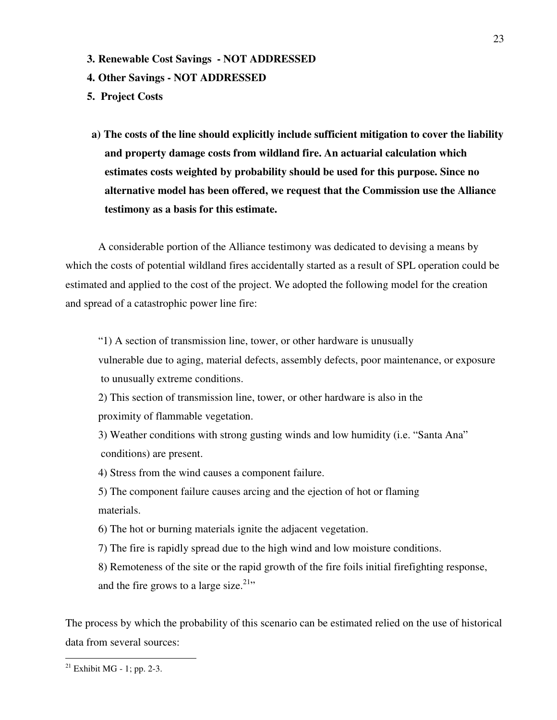- **3. Renewable Cost Savings NOT ADDRESSED**
- **4. Other Savings NOT ADDRESSED**
- **5. Project Costs**
- **a) The costs of the line should explicitly include sufficient mitigation to cover the liability and property damage costs from wildland fire. An actuarial calculation which estimates costs weighted by probability should be used for this purpose. Since no alternative model has been offered, we request that the Commission use the Alliance testimony as a basis for this estimate.**

A considerable portion of the Alliance testimony was dedicated to devising a means by which the costs of potential wildland fires accidentally started as a result of SPL operation could be estimated and applied to the cost of the project. We adopted the following model for the creation and spread of a catastrophic power line fire:

"1) A section of transmission line, tower, or other hardware is unusually

vulnerable due to aging, material defects, assembly defects, poor maintenance, or exposure to unusually extreme conditions.

2) This section of transmission line, tower, or other hardware is also in the proximity of flammable vegetation.

3) Weather conditions with strong gusting winds and low humidity (i.e. "Santa Ana" conditions) are present.

4) Stress from the wind causes a component failure.

5) The component failure causes arcing and the ejection of hot or flaming materials.

6) The hot or burning materials ignite the adjacent vegetation.

7) The fire is rapidly spread due to the high wind and low moisture conditions.

8) Remoteness of the site or the rapid growth of the fire foils initial firefighting response, and the fire grows to a large size.<sup>21</sup>"

The process by which the probability of this scenario can be estimated relied on the use of historical data from several sources:

 $^{21}$  Exhibit MG - 1; pp. 2-3.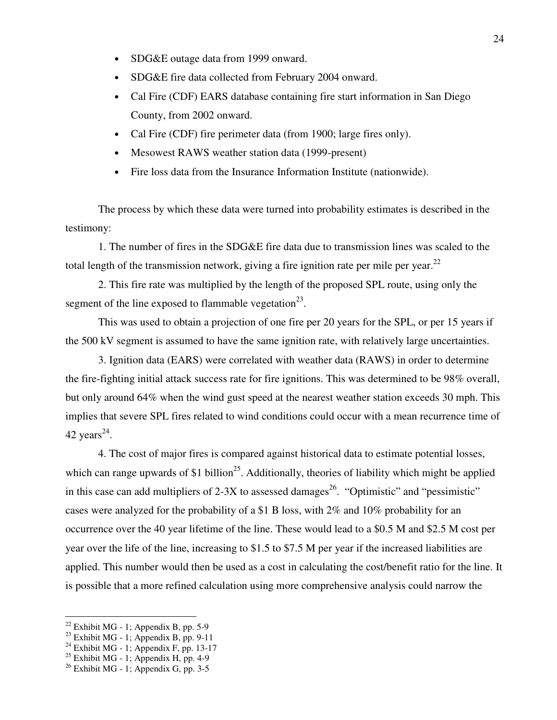- SDG&E outage data from 1999 onward.
- SDG&E fire data collected from February 2004 onward.
- Cal Fire (CDF) EARS database containing fire start information in San Diego County, from 2002 onward.
- Cal Fire (CDF) fire perimeter data (from 1900; large fires only).
- Mesowest RAWS weather station data (1999-present)
- Fire loss data from the Insurance Information Institute (nationwide).

The process by which these data were turned into probability estimates is described in the testimony:

1. The number of fires in the SDG&E fire data due to transmission lines was scaled to the total length of the transmission network, giving a fire ignition rate per mile per year.<sup>22</sup>

2. This fire rate was multiplied by the length of the proposed SPL route, using only the segment of the line exposed to flammable vegetation<sup>23</sup>.

This was used to obtain a projection of one fire per 20 years for the SPL, or per 15 years if the 500 kV segment is assumed to have the same ignition rate, with relatively large uncertainties.

3. Ignition data (EARS) were correlated with weather data (RAWS) in order to determine the fire-fighting initial attack success rate for fire ignitions. This was determined to be 98% overall, but only around 64% when the wind gust speed at the nearest weather station exceeds 30 mph. This implies that severe SPL fires related to wind conditions could occur with a mean recurrence time of 42 years<sup>24</sup>.

4. The cost of major fires is compared against historical data to estimate potential losses, which can range upwards of \$1 billion<sup>25</sup>. Additionally, theories of liability which might be applied in this case can add multipliers of 2-3X to assessed damages<sup>26</sup>. "Optimistic" and "pessimistic" cases were analyzed for the probability of a \$1 B loss, with 2% and 10% probability for an occurrence over the 40 year lifetime of the line. These would lead to a \$0.5 M and \$2.5 M cost per year over the life of the line, increasing to \$1.5 to \$7.5 M per year if the increased liabilities are applied. This number would then be used as a cost in calculating the cost/benefit ratio for the line. It is possible that a more refined calculation using more comprehensive analysis could narrow the

 $22$  Exhibit MG - 1; Appendix B, pp. 5-9

 $23$  Exhibit MG - 1; Appendix B, pp. 9-11

 $24$  Exhibit MG - 1; Appendix F, pp. 13-17

 $25$  Exhibit MG - 1; Appendix H, pp. 4-9

 $26$  Exhibit MG - 1; Appendix G, pp. 3-5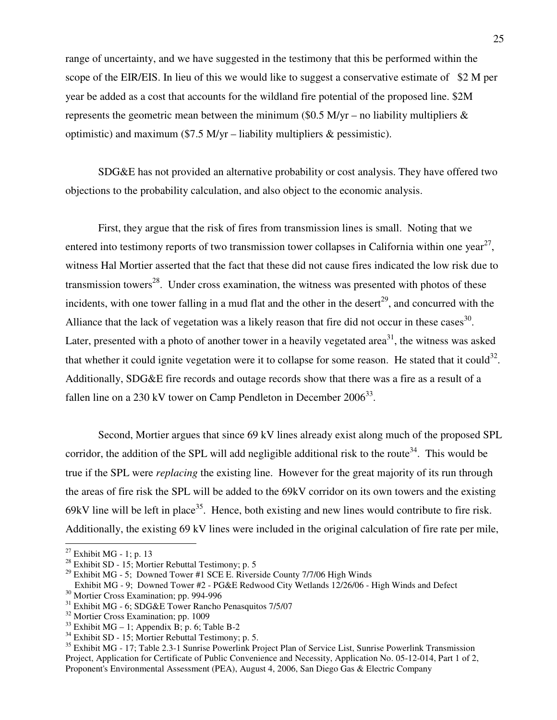range of uncertainty, and we have suggested in the testimony that this be performed within the scope of the EIR/EIS. In lieu of this we would like to suggest a conservative estimate of \$2 M per year be added as a cost that accounts for the wildland fire potential of the proposed line. \$2M represents the geometric mean between the minimum (\$0.5 M/yr – no liability multipliers  $\&$ optimistic) and maximum (\$7.5 M/yr – liability multipliers  $\&$  pessimistic).

SDG&E has not provided an alternative probability or cost analysis. They have offered two objections to the probability calculation, and also object to the economic analysis.

First, they argue that the risk of fires from transmission lines is small. Noting that we entered into testimony reports of two transmission tower collapses in California within one year<sup>27</sup>, witness Hal Mortier asserted that the fact that these did not cause fires indicated the low risk due to transmission towers<sup>28</sup>. Under cross examination, the witness was presented with photos of these incidents, with one tower falling in a mud flat and the other in the desert $^{29}$ , and concurred with the Alliance that the lack of vegetation was a likely reason that fire did not occur in these cases  $130$ . Later, presented with a photo of another tower in a heavily vegetated area<sup>31</sup>, the witness was asked that whether it could ignite vegetation were it to collapse for some reason. He stated that it could<sup>32</sup>. Additionally, SDG&E fire records and outage records show that there was a fire as a result of a fallen line on a 230 kV tower on Camp Pendleton in December  $2006^{33}$ .

Second, Mortier argues that since 69 kV lines already exist along much of the proposed SPL corridor, the addition of the SPL will add negligible additional risk to the route<sup>34</sup>. This would be true if the SPL were *replacing* the existing line. However for the great majority of its run through the areas of fire risk the SPL will be added to the 69kV corridor on its own towers and the existing 69kV line will be left in place<sup>35</sup>. Hence, both existing and new lines would contribute to fire risk. Additionally, the existing 69 kV lines were included in the original calculation of fire rate per mile,

 $27$  Exhibit MG - 1; p. 13

 $28$  Exhibit SD - 15; Mortier Rebuttal Testimony; p. 5

 $^{29}$  Exhibit MG - 5; Downed Tower #1 SCE E. Riverside County 7/7/06 High Winds

Exhibit MG - 9; Downed Tower #2 - PG&E Redwood City Wetlands 12/26/06 - High Winds and Defect

<sup>&</sup>lt;sup>30</sup> Mortier Cross Examination; pp. 994-996

<sup>31</sup> Exhibit MG - 6; SDG&E Tower Rancho Penasquitos 7/5/07

<sup>32</sup> Mortier Cross Examination; pp. 1009

 $33$  Exhibit MG – 1; Appendix B; p. 6; Table B-2

 $34$  Exhibit SD - 15; Mortier Rebuttal Testimony; p. 5.

<sup>&</sup>lt;sup>35</sup> Exhibit MG - 17; Table 2.3-1 Sunrise Powerlink Project Plan of Service List, Sunrise Powerlink Transmission Project, Application for Certificate of Public Convenience and Necessity, Application No. 05-12-014, Part 1 of 2, Proponent's Environmental Assessment (PEA), August 4, 2006, San Diego Gas & Electric Company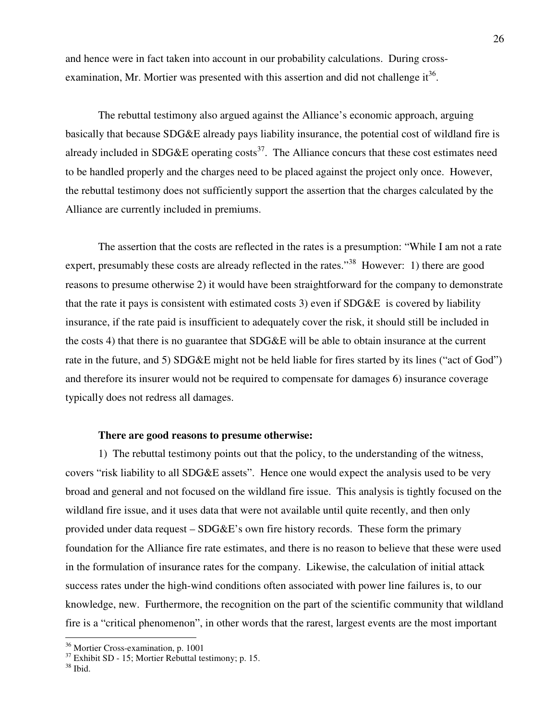and hence were in fact taken into account in our probability calculations. During crossexamination, Mr. Mortier was presented with this assertion and did not challenge  $it^{36}$ .

The rebuttal testimony also argued against the Alliance's economic approach, arguing basically that because SDG&E already pays liability insurance, the potential cost of wildland fire is already included in SDG&E operating  $\text{costs}^{37}$ . The Alliance concurs that these cost estimates need to be handled properly and the charges need to be placed against the project only once. However, the rebuttal testimony does not sufficiently support the assertion that the charges calculated by the Alliance are currently included in premiums.

The assertion that the costs are reflected in the rates is a presumption: "While I am not a rate expert, presumably these costs are already reflected in the rates."<sup>38</sup> However: 1) there are good reasons to presume otherwise 2) it would have been straightforward for the company to demonstrate that the rate it pays is consistent with estimated costs 3) even if SDG&E is covered by liability insurance, if the rate paid is insufficient to adequately cover the risk, it should still be included in the costs 4) that there is no guarantee that SDG&E will be able to obtain insurance at the current rate in the future, and 5) SDG&E might not be held liable for fires started by its lines ("act of God") and therefore its insurer would not be required to compensate for damages 6) insurance coverage typically does not redress all damages.

#### **There are good reasons to presume otherwise:**

1) The rebuttal testimony points out that the policy, to the understanding of the witness, covers "risk liability to all SDG&E assets". Hence one would expect the analysis used to be very broad and general and not focused on the wildland fire issue. This analysis is tightly focused on the wildland fire issue, and it uses data that were not available until quite recently, and then only provided under data request – SDG&E's own fire history records. These form the primary foundation for the Alliance fire rate estimates, and there is no reason to believe that these were used in the formulation of insurance rates for the company. Likewise, the calculation of initial attack success rates under the high-wind conditions often associated with power line failures is, to our knowledge, new. Furthermore, the recognition on the part of the scientific community that wildland fire is a "critical phenomenon", in other words that the rarest, largest events are the most important

<sup>36</sup> Mortier Cross-examination, p. 1001

<sup>&</sup>lt;sup>37</sup> Exhibit SD - 15; Mortier Rebuttal testimony; p. 15.

 $38$  Ibid.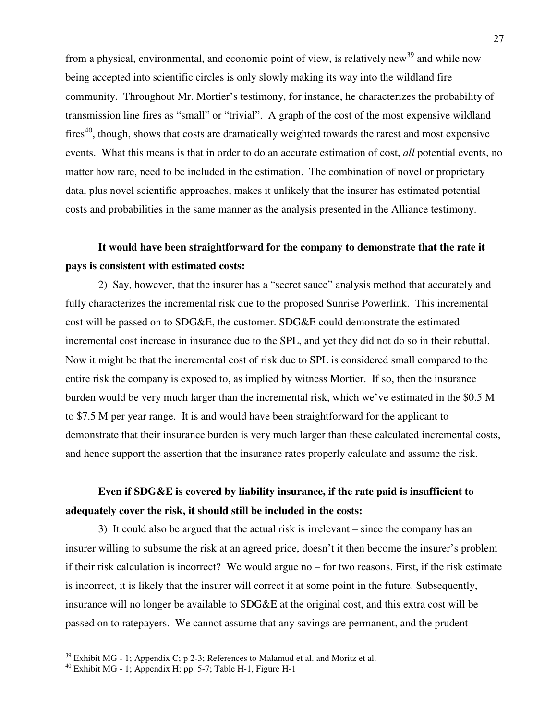from a physical, environmental, and economic point of view, is relatively new<sup>39</sup> and while now being accepted into scientific circles is only slowly making its way into the wildland fire community. Throughout Mr. Mortier's testimony, for instance, he characterizes the probability of transmission line fires as "small" or "trivial". A graph of the cost of the most expensive wildland  $fires<sup>40</sup>$ , though, shows that costs are dramatically weighted towards the rarest and most expensive events. What this means is that in order to do an accurate estimation of cost, *all* potential events, no matter how rare, need to be included in the estimation. The combination of novel or proprietary data, plus novel scientific approaches, makes it unlikely that the insurer has estimated potential costs and probabilities in the same manner as the analysis presented in the Alliance testimony.

## **It would have been straightforward for the company to demonstrate that the rate it pays is consistent with estimated costs:**

2) Say, however, that the insurer has a "secret sauce" analysis method that accurately and fully characterizes the incremental risk due to the proposed Sunrise Powerlink. This incremental cost will be passed on to SDG&E, the customer. SDG&E could demonstrate the estimated incremental cost increase in insurance due to the SPL, and yet they did not do so in their rebuttal. Now it might be that the incremental cost of risk due to SPL is considered small compared to the entire risk the company is exposed to, as implied by witness Mortier. If so, then the insurance burden would be very much larger than the incremental risk, which we've estimated in the \$0.5 M to \$7.5 M per year range. It is and would have been straightforward for the applicant to demonstrate that their insurance burden is very much larger than these calculated incremental costs, and hence support the assertion that the insurance rates properly calculate and assume the risk.

## **Even if SDG&E is covered by liability insurance, if the rate paid is insufficient to adequately cover the risk, it should still be included in the costs:**

3) It could also be argued that the actual risk is irrelevant – since the company has an insurer willing to subsume the risk at an agreed price, doesn't it then become the insurer's problem if their risk calculation is incorrect? We would argue no – for two reasons. First, if the risk estimate is incorrect, it is likely that the insurer will correct it at some point in the future. Subsequently, insurance will no longer be available to SDG&E at the original cost, and this extra cost will be passed on to ratepayers. We cannot assume that any savings are permanent, and the prudent

 $39$  Exhibit MG - 1; Appendix C; p 2-3; References to Malamud et al. and Moritz et al.

<sup>40</sup> Exhibit MG - 1; Appendix H; pp. 5-7; Table H-1, Figure H-1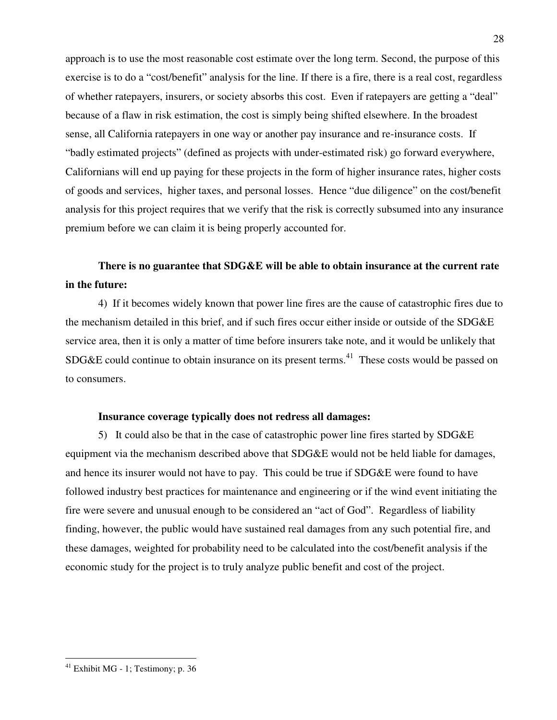approach is to use the most reasonable cost estimate over the long term. Second, the purpose of this exercise is to do a "cost/benefit" analysis for the line. If there is a fire, there is a real cost, regardless of whether ratepayers, insurers, or society absorbs this cost. Even if ratepayers are getting a "deal" because of a flaw in risk estimation, the cost is simply being shifted elsewhere. In the broadest sense, all California ratepayers in one way or another pay insurance and re-insurance costs. If "badly estimated projects" (defined as projects with under-estimated risk) go forward everywhere, Californians will end up paying for these projects in the form of higher insurance rates, higher costs of goods and services, higher taxes, and personal losses. Hence "due diligence" on the cost/benefit analysis for this project requires that we verify that the risk is correctly subsumed into any insurance premium before we can claim it is being properly accounted for.

## **There is no guarantee that SDG&E will be able to obtain insurance at the current rate in the future:**

4) If it becomes widely known that power line fires are the cause of catastrophic fires due to the mechanism detailed in this brief, and if such fires occur either inside or outside of the SDG&E service area, then it is only a matter of time before insurers take note, and it would be unlikely that  $SDG&E$  could continue to obtain insurance on its present terms.<sup>41</sup> These costs would be passed on to consumers.

#### **Insurance coverage typically does not redress all damages:**

5) It could also be that in the case of catastrophic power line fires started by SDG&E equipment via the mechanism described above that SDG&E would not be held liable for damages, and hence its insurer would not have to pay. This could be true if SDG&E were found to have followed industry best practices for maintenance and engineering or if the wind event initiating the fire were severe and unusual enough to be considered an "act of God". Regardless of liability finding, however, the public would have sustained real damages from any such potential fire, and these damages, weighted for probability need to be calculated into the cost/benefit analysis if the economic study for the project is to truly analyze public benefit and cost of the project.

 $41$  Exhibit MG - 1; Testimony; p. 36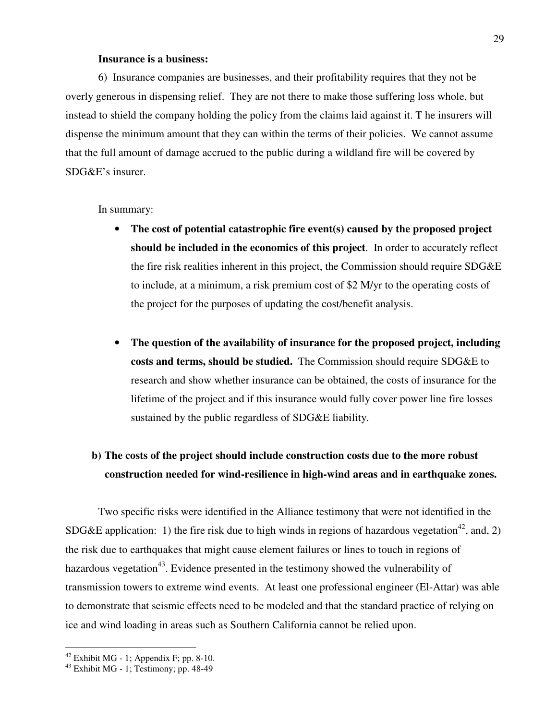#### **Insurance is a business:**

6) Insurance companies are businesses, and their profitability requires that they not be overly generous in dispensing relief. They are not there to make those suffering loss whole, but instead to shield the company holding the policy from the claims laid against it. T he insurers will dispense the minimum amount that they can within the terms of their policies. We cannot assume that the full amount of damage accrued to the public during a wildland fire will be covered by SDG&E's insurer.

In summary:

- **The cost of potential catastrophic fire event(s) caused by the proposed project should be included in the economics of this project**. In order to accurately reflect the fire risk realities inherent in this project, the Commission should require SDG&E to include, at a minimum, a risk premium cost of \$2 M/yr to the operating costs of the project for the purposes of updating the cost/benefit analysis.
- **The question of the availability of insurance for the proposed project, including costs and terms, should be studied.** The Commission should require SDG&E to research and show whether insurance can be obtained, the costs of insurance for the lifetime of the project and if this insurance would fully cover power line fire losses sustained by the public regardless of SDG&E liability.

## **b) The costs of the project should include construction costs due to the more robust construction needed for wind-resilience in high-wind areas and in earthquake zones.**

Two specific risks were identified in the Alliance testimony that were not identified in the SDG&E application: 1) the fire risk due to high winds in regions of hazardous vegetation<sup>42</sup>, and, 2) the risk due to earthquakes that might cause element failures or lines to touch in regions of hazardous vegetation<sup>43</sup>. Evidence presented in the testimony showed the vulnerability of transmission towers to extreme wind events. At least one professional engineer (El-Attar) was able to demonstrate that seismic effects need to be modeled and that the standard practice of relying on ice and wind loading in areas such as Southern California cannot be relied upon.

 $42$  Exhibit MG - 1; Appendix F; pp. 8-10.

 $43$  Exhibit MG - 1; Testimony; pp. 48-49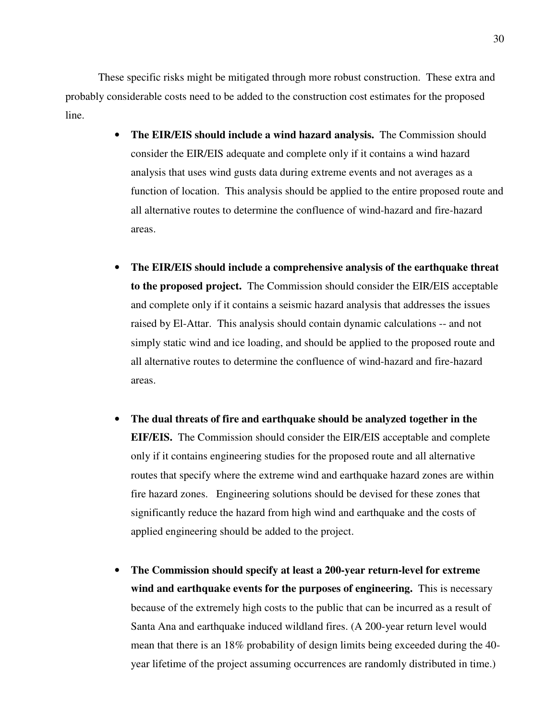These specific risks might be mitigated through more robust construction. These extra and probably considerable costs need to be added to the construction cost estimates for the proposed line.

- **The EIR/EIS should include a wind hazard analysis.** The Commission should consider the EIR/EIS adequate and complete only if it contains a wind hazard analysis that uses wind gusts data during extreme events and not averages as a function of location. This analysis should be applied to the entire proposed route and all alternative routes to determine the confluence of wind-hazard and fire-hazard areas.
- **The EIR/EIS should include a comprehensive analysis of the earthquake threat to the proposed project.** The Commission should consider the EIR/EIS acceptable and complete only if it contains a seismic hazard analysis that addresses the issues raised by El-Attar. This analysis should contain dynamic calculations -- and not simply static wind and ice loading, and should be applied to the proposed route and all alternative routes to determine the confluence of wind-hazard and fire-hazard areas.
- **The dual threats of fire and earthquake should be analyzed together in the EIF/EIS.** The Commission should consider the EIR/EIS acceptable and complete only if it contains engineering studies for the proposed route and all alternative routes that specify where the extreme wind and earthquake hazard zones are within fire hazard zones. Engineering solutions should be devised for these zones that significantly reduce the hazard from high wind and earthquake and the costs of applied engineering should be added to the project.
- **The Commission should specify at least a 200-year return-level for extreme wind and earthquake events for the purposes of engineering.** This is necessary because of the extremely high costs to the public that can be incurred as a result of Santa Ana and earthquake induced wildland fires. (A 200-year return level would mean that there is an 18% probability of design limits being exceeded during the 40 year lifetime of the project assuming occurrences are randomly distributed in time.)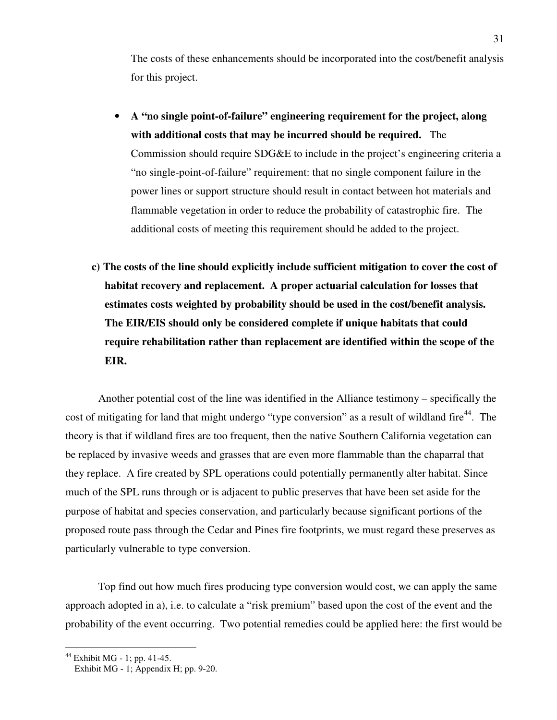The costs of these enhancements should be incorporated into the cost/benefit analysis for this project.

- **A "no single point-of-failure" engineering requirement for the project, along with additional costs that may be incurred should be required.** The Commission should require SDG&E to include in the project's engineering criteria a "no single-point-of-failure" requirement: that no single component failure in the power lines or support structure should result in contact between hot materials and flammable vegetation in order to reduce the probability of catastrophic fire. The additional costs of meeting this requirement should be added to the project.
- **c) The costs of the line should explicitly include sufficient mitigation to cover the cost of habitat recovery and replacement. A proper actuarial calculation for losses that estimates costs weighted by probability should be used in the cost/benefit analysis. The EIR/EIS should only be considered complete if unique habitats that could require rehabilitation rather than replacement are identified within the scope of the EIR.**

Another potential cost of the line was identified in the Alliance testimony – specifically the cost of mitigating for land that might undergo "type conversion" as a result of wildland fire<sup>44</sup>. The theory is that if wildland fires are too frequent, then the native Southern California vegetation can be replaced by invasive weeds and grasses that are even more flammable than the chaparral that they replace. A fire created by SPL operations could potentially permanently alter habitat. Since much of the SPL runs through or is adjacent to public preserves that have been set aside for the purpose of habitat and species conservation, and particularly because significant portions of the proposed route pass through the Cedar and Pines fire footprints, we must regard these preserves as particularly vulnerable to type conversion.

Top find out how much fires producing type conversion would cost, we can apply the same approach adopted in a), i.e. to calculate a "risk premium" based upon the cost of the event and the probability of the event occurring. Two potential remedies could be applied here: the first would be

<sup>44</sup> Exhibit MG - 1; pp. 41-45.

Exhibit MG - 1; Appendix H; pp. 9-20.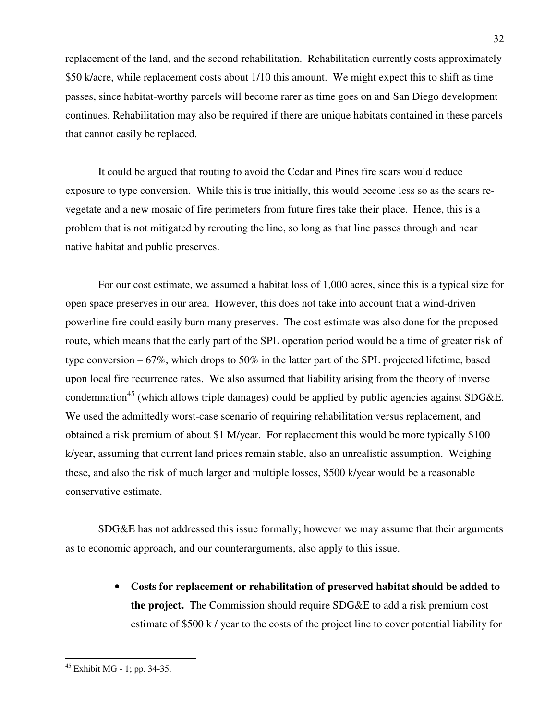replacement of the land, and the second rehabilitation. Rehabilitation currently costs approximately \$50 k/acre, while replacement costs about 1/10 this amount. We might expect this to shift as time passes, since habitat-worthy parcels will become rarer as time goes on and San Diego development continues. Rehabilitation may also be required if there are unique habitats contained in these parcels that cannot easily be replaced.

It could be argued that routing to avoid the Cedar and Pines fire scars would reduce exposure to type conversion. While this is true initially, this would become less so as the scars revegetate and a new mosaic of fire perimeters from future fires take their place. Hence, this is a problem that is not mitigated by rerouting the line, so long as that line passes through and near native habitat and public preserves.

For our cost estimate, we assumed a habitat loss of 1,000 acres, since this is a typical size for open space preserves in our area. However, this does not take into account that a wind-driven powerline fire could easily burn many preserves. The cost estimate was also done for the proposed route, which means that the early part of the SPL operation period would be a time of greater risk of type conversion – 67%, which drops to 50% in the latter part of the SPL projected lifetime, based upon local fire recurrence rates. We also assumed that liability arising from the theory of inverse condemnation<sup>45</sup> (which allows triple damages) could be applied by public agencies against SDG&E. We used the admittedly worst-case scenario of requiring rehabilitation versus replacement, and obtained a risk premium of about \$1 M/year. For replacement this would be more typically \$100 k/year, assuming that current land prices remain stable, also an unrealistic assumption. Weighing these, and also the risk of much larger and multiple losses, \$500 k/year would be a reasonable conservative estimate.

SDG&E has not addressed this issue formally; however we may assume that their arguments as to economic approach, and our counterarguments, also apply to this issue.

> • **Costs for replacement or rehabilitation of preserved habitat should be added to the project.** The Commission should require SDG&E to add a risk premium cost estimate of \$500 k / year to the costs of the project line to cover potential liability for

 $45$  Exhibit MG - 1; pp. 34-35.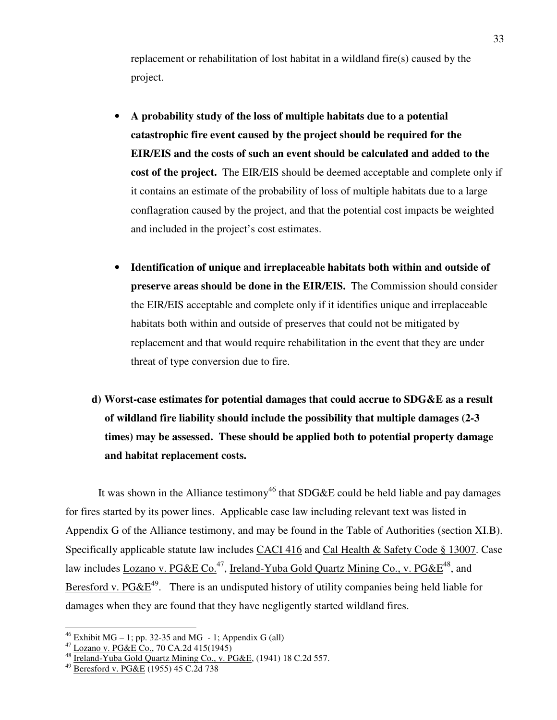replacement or rehabilitation of lost habitat in a wildland fire(s) caused by the project.

- **A probability study of the loss of multiple habitats due to a potential catastrophic fire event caused by the project should be required for the EIR/EIS and the costs of such an event should be calculated and added to the cost of the project.** The EIR/EIS should be deemed acceptable and complete only if it contains an estimate of the probability of loss of multiple habitats due to a large conflagration caused by the project, and that the potential cost impacts be weighted and included in the project's cost estimates.
- **Identification of unique and irreplaceable habitats both within and outside of preserve areas should be done in the EIR/EIS.** The Commission should consider the EIR/EIS acceptable and complete only if it identifies unique and irreplaceable habitats both within and outside of preserves that could not be mitigated by replacement and that would require rehabilitation in the event that they are under threat of type conversion due to fire.
- **d) Worst-case estimates for potential damages that could accrue to SDG&E as a result of wildland fire liability should include the possibility that multiple damages (2-3 times) may be assessed. These should be applied both to potential property damage and habitat replacement costs.**

It was shown in the Alliance testimony<sup>46</sup> that SDG&E could be held liable and pay damages for fires started by its power lines. Applicable case law including relevant text was listed in Appendix G of the Alliance testimony, and may be found in the Table of Authorities (section XI.B). Specifically applicable statute law includes CACI 416 and Cal Health & Safety Code § 13007. Case law includes Lozano v. PG&E Co.<sup>47</sup>, Ireland-Yuba Gold Quartz Mining Co., v. PG& $E^{48}$ , and Beresford v. PG&E<sup>49</sup>. There is an undisputed history of utility companies being held liable for damages when they are found that they have negligently started wildland fires.

<sup>&</sup>lt;sup>46</sup> Exhibit MG – 1; pp. 32-35 and MG – 1; Appendix G (all)

 $^{47}$  Lozano v. PG&E Co., 70 CA.2d 415(1945)

 $48 \frac{\text{Frema}}{\text{Ireland-Yuba Gold Quarterly}$  Mining Co., v. PG&E, (1941) 18 C.2d 557.

<sup>49</sup> Beresford v. PG&E (1955) 45 C.2d 738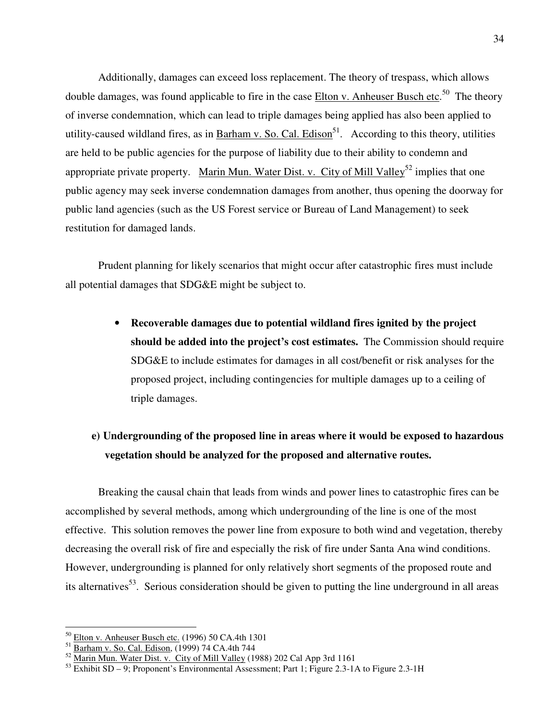Additionally, damages can exceed loss replacement. The theory of trespass, which allows double damages, was found applicable to fire in the case **Elton v. Anheuser Busch etc.**<sup>50</sup> The theory of inverse condemnation, which can lead to triple damages being applied has also been applied to utility-caused wildland fires, as in Barham v. So. Cal. Edison<sup>51</sup>. According to this theory, utilities are held to be public agencies for the purpose of liability due to their ability to condemn and appropriate private property. Marin Mun. Water Dist. v. City of Mill Valley<sup>52</sup> implies that one public agency may seek inverse condemnation damages from another, thus opening the doorway for public land agencies (such as the US Forest service or Bureau of Land Management) to seek restitution for damaged lands.

Prudent planning for likely scenarios that might occur after catastrophic fires must include all potential damages that SDG&E might be subject to.

> • **Recoverable damages due to potential wildland fires ignited by the project should be added into the project's cost estimates.** The Commission should require SDG&E to include estimates for damages in all cost/benefit or risk analyses for the proposed project, including contingencies for multiple damages up to a ceiling of triple damages.

## **e) Undergrounding of the proposed line in areas where it would be exposed to hazardous vegetation should be analyzed for the proposed and alternative routes.**

Breaking the causal chain that leads from winds and power lines to catastrophic fires can be accomplished by several methods, among which undergrounding of the line is one of the most effective. This solution removes the power line from exposure to both wind and vegetation, thereby decreasing the overall risk of fire and especially the risk of fire under Santa Ana wind conditions. However, undergrounding is planned for only relatively short segments of the proposed route and its alternatives<sup>53</sup>. Serious consideration should be given to putting the line underground in all areas

<sup>50</sup> Elton v. Anheuser Busch etc. (1996) 50 CA.4th 1301

<sup>&</sup>lt;sup>51</sup> Barham v. So. Cal. Edison, (1999) 74 CA.4th 744

 $52$  Marin Mun. Water Dist. v. City of Mill Valley (1988) 202 Cal App 3rd 1161

<sup>53</sup> Exhibit SD – 9; Proponent's Environmental Assessment; Part 1; Figure 2.3-1A to Figure 2.3-1H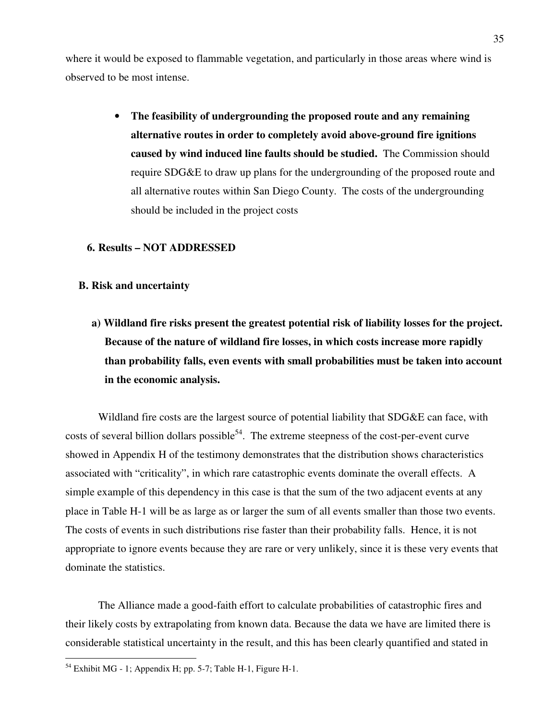where it would be exposed to flammable vegetation, and particularly in those areas where wind is observed to be most intense.

> • **The feasibility of undergrounding the proposed route and any remaining alternative routes in order to completely avoid above-ground fire ignitions caused by wind induced line faults should be studied.** The Commission should require SDG&E to draw up plans for the undergrounding of the proposed route and all alternative routes within San Diego County. The costs of the undergrounding should be included in the project costs

#### **6. Results – NOT ADDRESSED**

#### **B. Risk and uncertainty**

**a) Wildland fire risks present the greatest potential risk of liability losses for the project. Because of the nature of wildland fire losses, in which costs increase more rapidly than probability falls, even events with small probabilities must be taken into account in the economic analysis.** 

Wildland fire costs are the largest source of potential liability that SDG&E can face, with costs of several billion dollars possible<sup>54</sup>. The extreme steepness of the cost-per-event curve showed in Appendix H of the testimony demonstrates that the distribution shows characteristics associated with "criticality", in which rare catastrophic events dominate the overall effects. A simple example of this dependency in this case is that the sum of the two adjacent events at any place in Table H-1 will be as large as or larger the sum of all events smaller than those two events. The costs of events in such distributions rise faster than their probability falls. Hence, it is not appropriate to ignore events because they are rare or very unlikely, since it is these very events that dominate the statistics.

The Alliance made a good-faith effort to calculate probabilities of catastrophic fires and their likely costs by extrapolating from known data. Because the data we have are limited there is considerable statistical uncertainty in the result, and this has been clearly quantified and stated in

 $<sup>54</sup>$  Exhibit MG - 1; Appendix H; pp. 5-7; Table H-1, Figure H-1.</sup>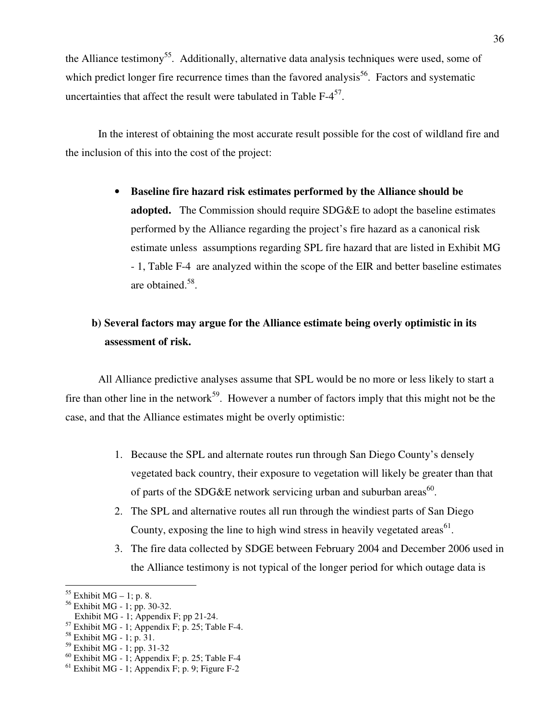the Alliance testimony<sup>55</sup>. Additionally, alternative data analysis techniques were used, some of which predict longer fire recurrence times than the favored analysis<sup>56</sup>. Factors and systematic uncertainties that affect the result were tabulated in Table  $F-4^{57}$ .

In the interest of obtaining the most accurate result possible for the cost of wildland fire and the inclusion of this into the cost of the project:

> • **Baseline fire hazard risk estimates performed by the Alliance should be adopted.** The Commission should require SDG&E to adopt the baseline estimates performed by the Alliance regarding the project's fire hazard as a canonical risk estimate unless assumptions regarding SPL fire hazard that are listed in Exhibit MG - 1, Table F-4 are analyzed within the scope of the EIR and better baseline estimates are obtained.<sup>58</sup>.

## **b) Several factors may argue for the Alliance estimate being overly optimistic in its assessment of risk.**

All Alliance predictive analyses assume that SPL would be no more or less likely to start a fire than other line in the network<sup>59</sup>. However a number of factors imply that this might not be the case, and that the Alliance estimates might be overly optimistic:

- 1. Because the SPL and alternate routes run through San Diego County's densely vegetated back country, their exposure to vegetation will likely be greater than that of parts of the SDG&E network servicing urban and suburban areas<sup>60</sup>.
- 2. The SPL and alternative routes all run through the windiest parts of San Diego County, exposing the line to high wind stress in heavily vegetated areas $^{61}$ .
- 3. The fire data collected by SDGE between February 2004 and December 2006 used in the Alliance testimony is not typical of the longer period for which outage data is

 $55$  Exhibit MG – 1; p. 8.

<sup>56</sup> Exhibit MG - 1; pp. 30-32.

Exhibit MG - 1; Appendix F; pp 21-24.

 $57$  Exhibit MG - 1; Appendix F; p. 25; Table F-4.

 $58$  Exhibit MG - 1; p. 31.

 $59$  Exhibit MG - 1; pp. 31-32

 $60$  Exhibit MG - 1; Appendix F; p. 25; Table F-4

 $<sup>61</sup>$  Exhibit MG - 1; Appendix F; p. 9; Figure F-2</sup>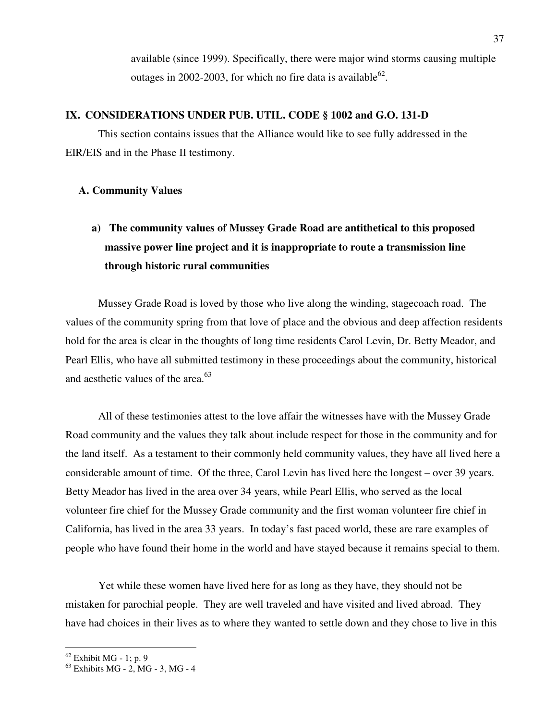available (since 1999). Specifically, there were major wind storms causing multiple outages in 2002-2003, for which no fire data is available<sup>62</sup>.

#### **IX. CONSIDERATIONS UNDER PUB. UTIL. CODE § 1002 and G.O. 131-D**

This section contains issues that the Alliance would like to see fully addressed in the EIR/EIS and in the Phase II testimony.

#### **A. Community Values**

# **a) The community values of Mussey Grade Road are antithetical to this proposed massive power line project and it is inappropriate to route a transmission line through historic rural communities**

Mussey Grade Road is loved by those who live along the winding, stagecoach road. The values of the community spring from that love of place and the obvious and deep affection residents hold for the area is clear in the thoughts of long time residents Carol Levin, Dr. Betty Meador, and Pearl Ellis, who have all submitted testimony in these proceedings about the community, historical and aesthetic values of the area. $63$ 

All of these testimonies attest to the love affair the witnesses have with the Mussey Grade Road community and the values they talk about include respect for those in the community and for the land itself. As a testament to their commonly held community values, they have all lived here a considerable amount of time. Of the three, Carol Levin has lived here the longest – over 39 years. Betty Meador has lived in the area over 34 years, while Pearl Ellis, who served as the local volunteer fire chief for the Mussey Grade community and the first woman volunteer fire chief in California, has lived in the area 33 years. In today's fast paced world, these are rare examples of people who have found their home in the world and have stayed because it remains special to them.

Yet while these women have lived here for as long as they have, they should not be mistaken for parochial people. They are well traveled and have visited and lived abroad. They have had choices in their lives as to where they wanted to settle down and they chose to live in this

 $62$  Exhibit MG - 1; p. 9

<sup>63</sup> Exhibits MG - 2, MG - 3, MG - 4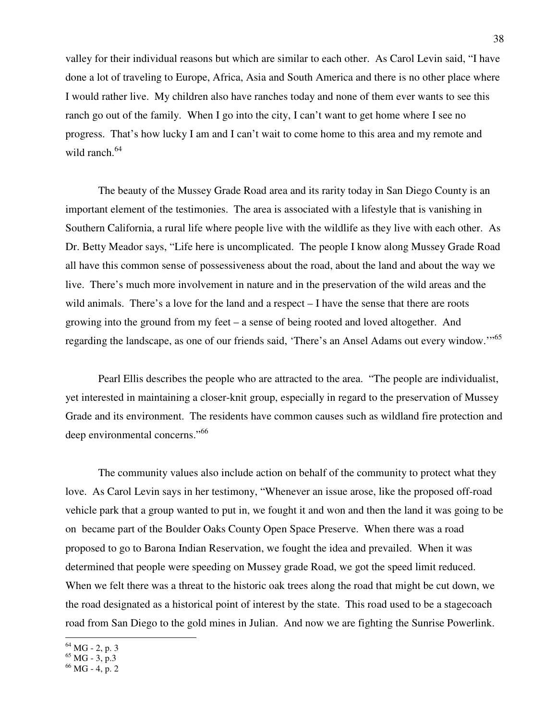valley for their individual reasons but which are similar to each other. As Carol Levin said, "I have done a lot of traveling to Europe, Africa, Asia and South America and there is no other place where I would rather live. My children also have ranches today and none of them ever wants to see this ranch go out of the family. When I go into the city, I can't want to get home where I see no progress. That's how lucky I am and I can't wait to come home to this area and my remote and wild ranch. $64$ 

The beauty of the Mussey Grade Road area and its rarity today in San Diego County is an important element of the testimonies. The area is associated with a lifestyle that is vanishing in Southern California, a rural life where people live with the wildlife as they live with each other. As Dr. Betty Meador says, "Life here is uncomplicated. The people I know along Mussey Grade Road all have this common sense of possessiveness about the road, about the land and about the way we live. There's much more involvement in nature and in the preservation of the wild areas and the wild animals. There's a love for the land and a respect – I have the sense that there are roots growing into the ground from my feet – a sense of being rooted and loved altogether. And regarding the landscape, as one of our friends said, 'There's an Ansel Adams out every window.'"<sup>65</sup>

Pearl Ellis describes the people who are attracted to the area. "The people are individualist, yet interested in maintaining a closer-knit group, especially in regard to the preservation of Mussey Grade and its environment. The residents have common causes such as wildland fire protection and deep environmental concerns."<sup>66</sup>

The community values also include action on behalf of the community to protect what they love. As Carol Levin says in her testimony, "Whenever an issue arose, like the proposed off-road vehicle park that a group wanted to put in, we fought it and won and then the land it was going to be on became part of the Boulder Oaks County Open Space Preserve. When there was a road proposed to go to Barona Indian Reservation, we fought the idea and prevailed. When it was determined that people were speeding on Mussey grade Road, we got the speed limit reduced. When we felt there was a threat to the historic oak trees along the road that might be cut down, we the road designated as a historical point of interest by the state. This road used to be a stagecoach road from San Diego to the gold mines in Julian. And now we are fighting the Sunrise Powerlink.

 $64$  MG - 2, p. 3

 $65$  MG - 3, p.3

 $66$  MG - 4, p. 2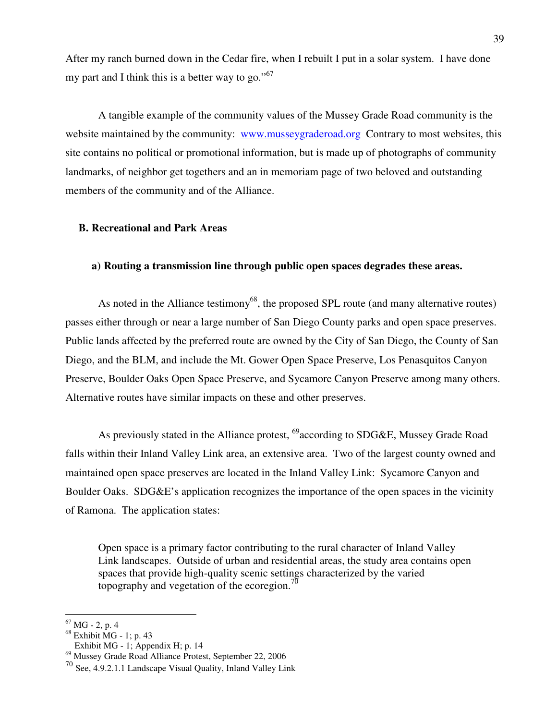After my ranch burned down in the Cedar fire, when I rebuilt I put in a solar system. I have done my part and I think this is a better way to go."<sup>67</sup>

A tangible example of the community values of the Mussey Grade Road community is the website maintained by the community: www.musseygraderoad.org Contrary to most websites, this site contains no political or promotional information, but is made up of photographs of community landmarks, of neighbor get togethers and an in memoriam page of two beloved and outstanding members of the community and of the Alliance.

#### **B. Recreational and Park Areas**

#### **a) Routing a transmission line through public open spaces degrades these areas.**

As noted in the Alliance testimony<sup>68</sup>, the proposed SPL route (and many alternative routes) passes either through or near a large number of San Diego County parks and open space preserves. Public lands affected by the preferred route are owned by the City of San Diego, the County of San Diego, and the BLM, and include the Mt. Gower Open Space Preserve, Los Penasquitos Canyon Preserve, Boulder Oaks Open Space Preserve, and Sycamore Canyon Preserve among many others. Alternative routes have similar impacts on these and other preserves.

As previously stated in the Alliance protest, <sup>69</sup>according to SDG&E, Mussey Grade Road falls within their Inland Valley Link area, an extensive area. Two of the largest county owned and maintained open space preserves are located in the Inland Valley Link: Sycamore Canyon and Boulder Oaks. SDG&E's application recognizes the importance of the open spaces in the vicinity of Ramona. The application states:

Open space is a primary factor contributing to the rural character of Inland Valley Link landscapes. Outside of urban and residential areas, the study area contains open spaces that provide high-quality scenic settings characterized by the varied topography and vegetation of the ecoregion.<sup>70</sup>

 $\overline{a}$ 

Exhibit MG - 1; Appendix H; p. 14

 $67$  MG - 2, p. 4

 $68$  Exhibit MG - 1; p. 43

<sup>69</sup> Mussey Grade Road Alliance Protest, September 22, 2006

<sup>70</sup> See, 4.9.2.1.1 Landscape Visual Quality, Inland Valley Link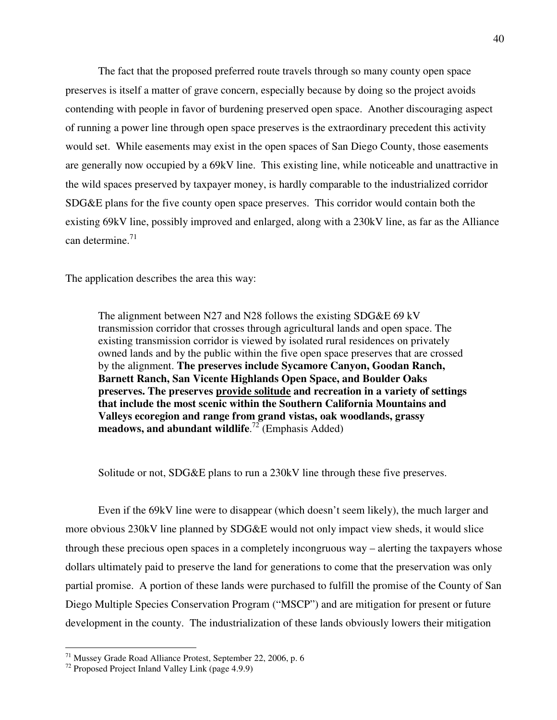The fact that the proposed preferred route travels through so many county open space preserves is itself a matter of grave concern, especially because by doing so the project avoids contending with people in favor of burdening preserved open space. Another discouraging aspect of running a power line through open space preserves is the extraordinary precedent this activity would set. While easements may exist in the open spaces of San Diego County, those easements are generally now occupied by a 69kV line. This existing line, while noticeable and unattractive in the wild spaces preserved by taxpayer money, is hardly comparable to the industrialized corridor SDG&E plans for the five county open space preserves. This corridor would contain both the existing 69kV line, possibly improved and enlarged, along with a 230kV line, as far as the Alliance can determine.<sup>71</sup>

The application describes the area this way:

The alignment between N27 and N28 follows the existing SDG&E 69 kV transmission corridor that crosses through agricultural lands and open space. The existing transmission corridor is viewed by isolated rural residences on privately owned lands and by the public within the five open space preserves that are crossed by the alignment. **The preserves include Sycamore Canyon, Goodan Ranch, Barnett Ranch, San Vicente Highlands Open Space, and Boulder Oaks preserves. The preserves provide solitude and recreation in a variety of settings that include the most scenic within the Southern California Mountains and Valleys ecoregion and range from grand vistas, oak woodlands, grassy meadows, and abundant wildlife**. <sup>72</sup> (Emphasis Added)

Solitude or not, SDG&E plans to run a 230kV line through these five preserves.

 Even if the 69kV line were to disappear (which doesn't seem likely), the much larger and more obvious 230kV line planned by SDG&E would not only impact view sheds, it would slice through these precious open spaces in a completely incongruous way – alerting the taxpayers whose dollars ultimately paid to preserve the land for generations to come that the preservation was only partial promise. A portion of these lands were purchased to fulfill the promise of the County of San Diego Multiple Species Conservation Program ("MSCP") and are mitigation for present or future development in the county. The industrialization of these lands obviously lowers their mitigation

<sup>&</sup>lt;sup>71</sup> Mussey Grade Road Alliance Protest, September 22, 2006, p. 6

<sup>72</sup> Proposed Project Inland Valley Link (page 4.9.9)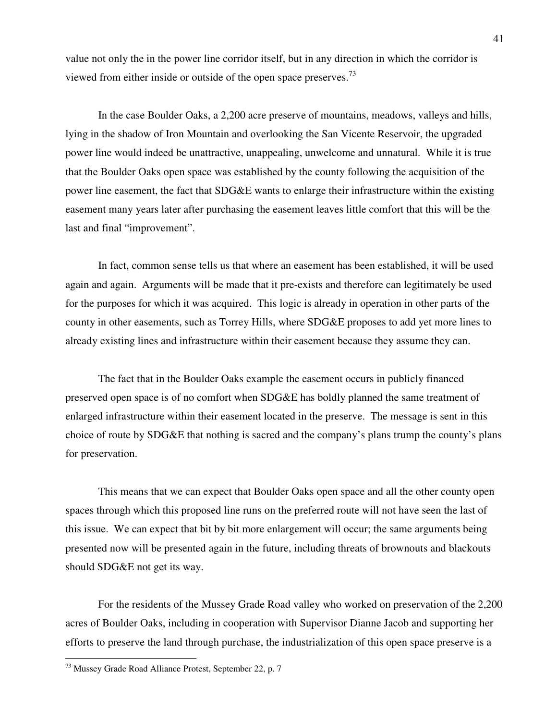value not only the in the power line corridor itself, but in any direction in which the corridor is viewed from either inside or outside of the open space preserves.<sup>73</sup>

 In the case Boulder Oaks, a 2,200 acre preserve of mountains, meadows, valleys and hills, lying in the shadow of Iron Mountain and overlooking the San Vicente Reservoir, the upgraded power line would indeed be unattractive, unappealing, unwelcome and unnatural. While it is true that the Boulder Oaks open space was established by the county following the acquisition of the power line easement, the fact that SDG&E wants to enlarge their infrastructure within the existing easement many years later after purchasing the easement leaves little comfort that this will be the last and final "improvement".

 In fact, common sense tells us that where an easement has been established, it will be used again and again. Arguments will be made that it pre-exists and therefore can legitimately be used for the purposes for which it was acquired. This logic is already in operation in other parts of the county in other easements, such as Torrey Hills, where SDG&E proposes to add yet more lines to already existing lines and infrastructure within their easement because they assume they can.

 The fact that in the Boulder Oaks example the easement occurs in publicly financed preserved open space is of no comfort when SDG&E has boldly planned the same treatment of enlarged infrastructure within their easement located in the preserve. The message is sent in this choice of route by SDG&E that nothing is sacred and the company's plans trump the county's plans for preservation.

 This means that we can expect that Boulder Oaks open space and all the other county open spaces through which this proposed line runs on the preferred route will not have seen the last of this issue. We can expect that bit by bit more enlargement will occur; the same arguments being presented now will be presented again in the future, including threats of brownouts and blackouts should SDG&E not get its way.

 For the residents of the Mussey Grade Road valley who worked on preservation of the 2,200 acres of Boulder Oaks, including in cooperation with Supervisor Dianne Jacob and supporting her efforts to preserve the land through purchase, the industrialization of this open space preserve is a

<sup>&</sup>lt;sup>73</sup> Mussey Grade Road Alliance Protest, September 22, p. 7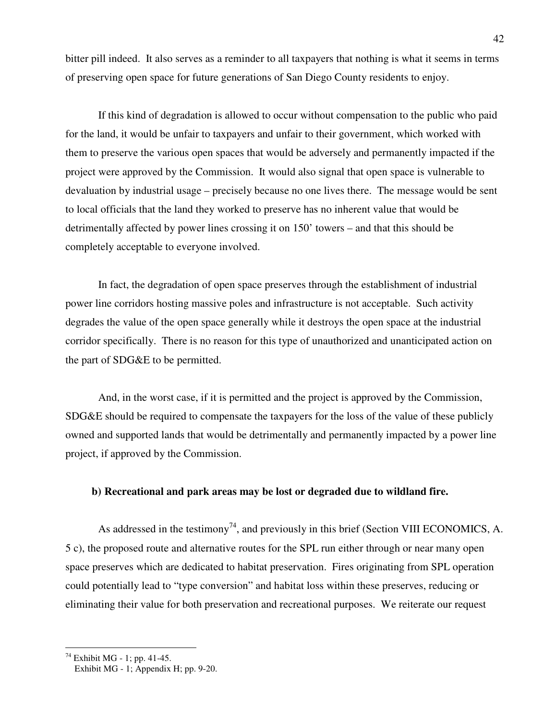bitter pill indeed. It also serves as a reminder to all taxpayers that nothing is what it seems in terms of preserving open space for future generations of San Diego County residents to enjoy.

 If this kind of degradation is allowed to occur without compensation to the public who paid for the land, it would be unfair to taxpayers and unfair to their government, which worked with them to preserve the various open spaces that would be adversely and permanently impacted if the project were approved by the Commission. It would also signal that open space is vulnerable to devaluation by industrial usage – precisely because no one lives there. The message would be sent to local officials that the land they worked to preserve has no inherent value that would be detrimentally affected by power lines crossing it on 150' towers – and that this should be completely acceptable to everyone involved.

 In fact, the degradation of open space preserves through the establishment of industrial power line corridors hosting massive poles and infrastructure is not acceptable. Such activity degrades the value of the open space generally while it destroys the open space at the industrial corridor specifically. There is no reason for this type of unauthorized and unanticipated action on the part of SDG&E to be permitted.

 And, in the worst case, if it is permitted and the project is approved by the Commission, SDG&E should be required to compensate the taxpayers for the loss of the value of these publicly owned and supported lands that would be detrimentally and permanently impacted by a power line project, if approved by the Commission.

#### **b) Recreational and park areas may be lost or degraded due to wildland fire.**

As addressed in the testimony<sup>74</sup>, and previously in this brief (Section VIII ECONOMICS, A. 5 c), the proposed route and alternative routes for the SPL run either through or near many open space preserves which are dedicated to habitat preservation. Fires originating from SPL operation could potentially lead to "type conversion" and habitat loss within these preserves, reducing or eliminating their value for both preservation and recreational purposes. We reiterate our request

 $74$  Exhibit MG - 1; pp. 41-45.

Exhibit MG - 1; Appendix H; pp. 9-20.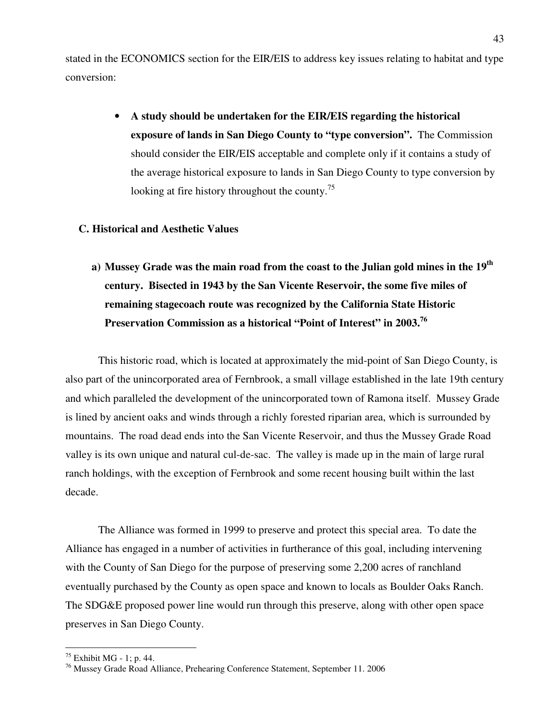stated in the ECONOMICS section for the EIR/EIS to address key issues relating to habitat and type conversion:

> • **A study should be undertaken for the EIR/EIS regarding the historical exposure of lands in San Diego County to "type conversion".** The Commission should consider the EIR/EIS acceptable and complete only if it contains a study of the average historical exposure to lands in San Diego County to type conversion by looking at fire history throughout the county.<sup>75</sup>

#### **C. Historical and Aesthetic Values**

**a) Mussey Grade was the main road from the coast to the Julian gold mines in the 19th century. Bisected in 1943 by the San Vicente Reservoir, the some five miles of remaining stagecoach route was recognized by the California State Historic Preservation Commission as a historical "Point of Interest" in 2003.<sup>76</sup>** 

 This historic road, which is located at approximately the mid-point of San Diego County, is also part of the unincorporated area of Fernbrook, a small village established in the late 19th century and which paralleled the development of the unincorporated town of Ramona itself. Mussey Grade is lined by ancient oaks and winds through a richly forested riparian area, which is surrounded by mountains. The road dead ends into the San Vicente Reservoir, and thus the Mussey Grade Road valley is its own unique and natural cul-de-sac. The valley is made up in the main of large rural ranch holdings, with the exception of Fernbrook and some recent housing built within the last decade.

 The Alliance was formed in 1999 to preserve and protect this special area. To date the Alliance has engaged in a number of activities in furtherance of this goal, including intervening with the County of San Diego for the purpose of preserving some 2,200 acres of ranchland eventually purchased by the County as open space and known to locals as Boulder Oaks Ranch. The SDG&E proposed power line would run through this preserve, along with other open space preserves in San Diego County.

 $75$  Exhibit MG - 1; p. 44.

<sup>76</sup> Mussey Grade Road Alliance, Prehearing Conference Statement, September 11. 2006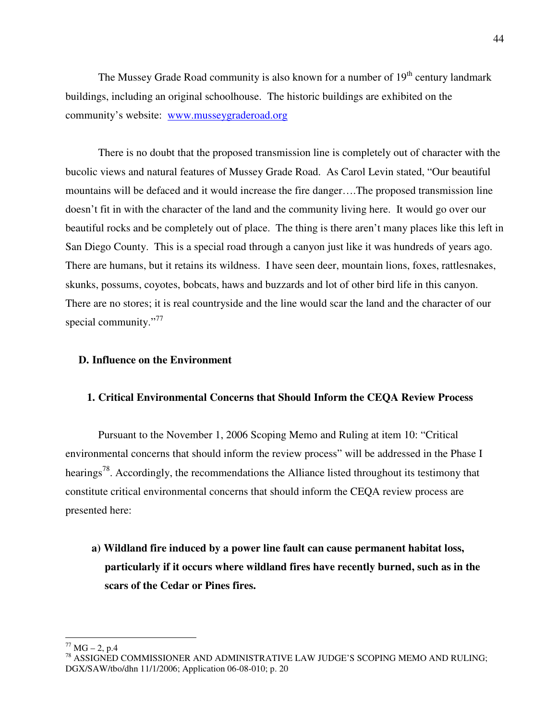The Mussey Grade Road community is also known for a number of  $19<sup>th</sup>$  century landmark buildings, including an original schoolhouse. The historic buildings are exhibited on the community's website: www.musseygraderoad.org

 There is no doubt that the proposed transmission line is completely out of character with the bucolic views and natural features of Mussey Grade Road. As Carol Levin stated, "Our beautiful mountains will be defaced and it would increase the fire danger….The proposed transmission line doesn't fit in with the character of the land and the community living here. It would go over our beautiful rocks and be completely out of place. The thing is there aren't many places like this left in San Diego County. This is a special road through a canyon just like it was hundreds of years ago. There are humans, but it retains its wildness. I have seen deer, mountain lions, foxes, rattlesnakes, skunks, possums, coyotes, bobcats, haws and buzzards and lot of other bird life in this canyon. There are no stores; it is real countryside and the line would scar the land and the character of our special community."<sup>77</sup>

### **D. Influence on the Environment**

#### **1. Critical Environmental Concerns that Should Inform the CEQA Review Process**

Pursuant to the November 1, 2006 Scoping Memo and Ruling at item 10: "Critical environmental concerns that should inform the review process" will be addressed in the Phase I hearings<sup>78</sup>. Accordingly, the recommendations the Alliance listed throughout its testimony that constitute critical environmental concerns that should inform the CEQA review process are presented here:

## **a) Wildland fire induced by a power line fault can cause permanent habitat loss, particularly if it occurs where wildland fires have recently burned, such as in the scars of the Cedar or Pines fires.**

 $\overline{a}$  $77$  MG – 2, p.4

<sup>78</sup> ASSIGNED COMMISSIONER AND ADMINISTRATIVE LAW JUDGE'S SCOPING MEMO AND RULING; DGX/SAW/tbo/dhn 11/1/2006; Application 06-08-010; p. 20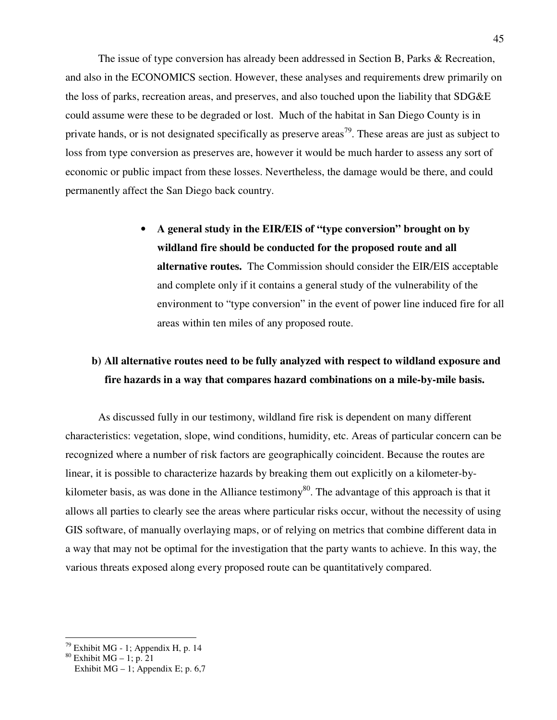The issue of type conversion has already been addressed in Section B, Parks & Recreation, and also in the ECONOMICS section. However, these analyses and requirements drew primarily on the loss of parks, recreation areas, and preserves, and also touched upon the liability that SDG&E could assume were these to be degraded or lost. Much of the habitat in San Diego County is in private hands, or is not designated specifically as preserve areas<sup>79</sup>. These areas are just as subject to loss from type conversion as preserves are, however it would be much harder to assess any sort of economic or public impact from these losses. Nevertheless, the damage would be there, and could permanently affect the San Diego back country.

> • **A general study in the EIR/EIS of "type conversion" brought on by wildland fire should be conducted for the proposed route and all alternative routes.** The Commission should consider the EIR/EIS acceptable and complete only if it contains a general study of the vulnerability of the environment to "type conversion" in the event of power line induced fire for all areas within ten miles of any proposed route.

## **b) All alternative routes need to be fully analyzed with respect to wildland exposure and fire hazards in a way that compares hazard combinations on a mile-by-mile basis.**

As discussed fully in our testimony, wildland fire risk is dependent on many different characteristics: vegetation, slope, wind conditions, humidity, etc. Areas of particular concern can be recognized where a number of risk factors are geographically coincident. Because the routes are linear, it is possible to characterize hazards by breaking them out explicitly on a kilometer-bykilometer basis, as was done in the Alliance testimony<sup>80</sup>. The advantage of this approach is that it allows all parties to clearly see the areas where particular risks occur, without the necessity of using GIS software, of manually overlaying maps, or of relying on metrics that combine different data in a way that may not be optimal for the investigation that the party wants to achieve. In this way, the various threats exposed along every proposed route can be quantitatively compared.

 $79$  Exhibit MG - 1; Appendix H, p. 14

 $80$  Exhibit MG – 1; p. 21

Exhibit  $MG - 1$ ; Appendix E; p. 6,7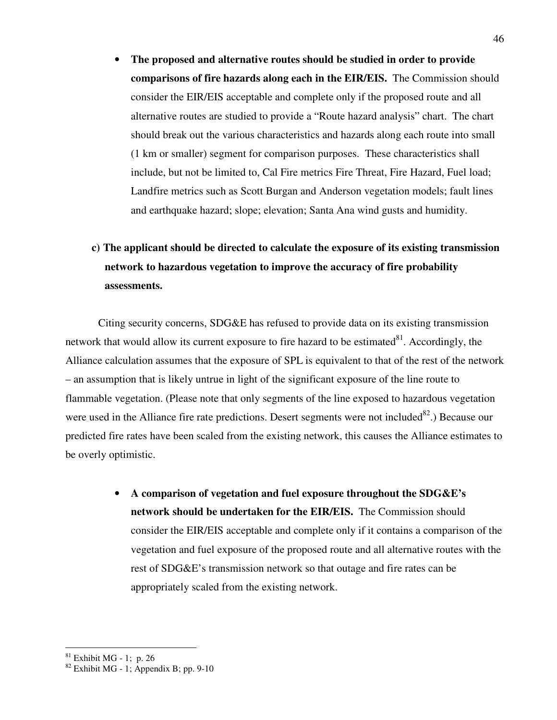• **The proposed and alternative routes should be studied in order to provide comparisons of fire hazards along each in the EIR/EIS.** The Commission should consider the EIR/EIS acceptable and complete only if the proposed route and all alternative routes are studied to provide a "Route hazard analysis" chart. The chart should break out the various characteristics and hazards along each route into small (1 km or smaller) segment for comparison purposes. These characteristics shall include, but not be limited to, Cal Fire metrics Fire Threat, Fire Hazard, Fuel load; Landfire metrics such as Scott Burgan and Anderson vegetation models; fault lines and earthquake hazard; slope; elevation; Santa Ana wind gusts and humidity.

## **c) The applicant should be directed to calculate the exposure of its existing transmission network to hazardous vegetation to improve the accuracy of fire probability assessments.**

Citing security concerns, SDG&E has refused to provide data on its existing transmission network that would allow its current exposure to fire hazard to be estimated $81$ . Accordingly, the Alliance calculation assumes that the exposure of SPL is equivalent to that of the rest of the network – an assumption that is likely untrue in light of the significant exposure of the line route to flammable vegetation. (Please note that only segments of the line exposed to hazardous vegetation were used in the Alliance fire rate predictions. Desert segments were not included<sup>82</sup>.) Because our predicted fire rates have been scaled from the existing network, this causes the Alliance estimates to be overly optimistic.

> • **A comparison of vegetation and fuel exposure throughout the SDG&E's network should be undertaken for the EIR/EIS.** The Commission should consider the EIR/EIS acceptable and complete only if it contains a comparison of the vegetation and fuel exposure of the proposed route and all alternative routes with the rest of SDG&E's transmission network so that outage and fire rates can be appropriately scaled from the existing network.

 $81$  Exhibit MG - 1; p. 26

 $82$  Exhibit MG - 1; Appendix B; pp. 9-10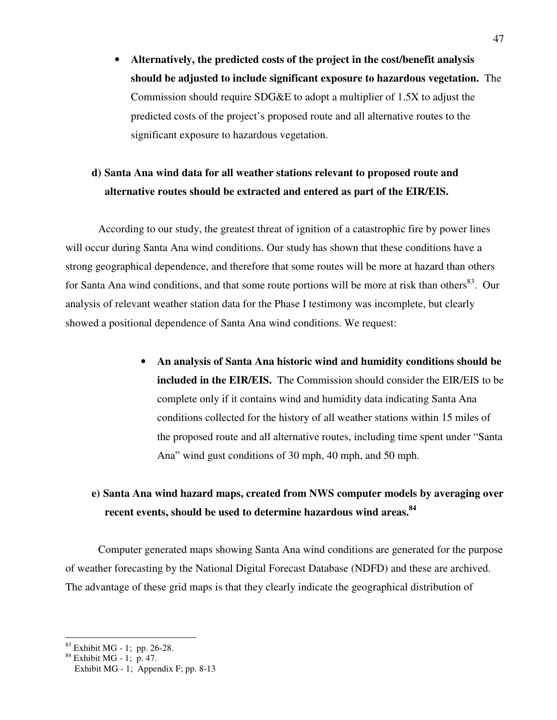• **Alternatively, the predicted costs of the project in the cost/benefit analysis should be adjusted to include significant exposure to hazardous vegetation.** The Commission should require SDG&E to adopt a multiplier of 1.5X to adjust the predicted costs of the project's proposed route and all alternative routes to the significant exposure to hazardous vegetation.

## **d) Santa Ana wind data for all weather stations relevant to proposed route and alternative routes should be extracted and entered as part of the EIR/EIS.**

According to our study, the greatest threat of ignition of a catastrophic fire by power lines will occur during Santa Ana wind conditions. Our study has shown that these conditions have a strong geographical dependence, and therefore that some routes will be more at hazard than others for Santa Ana wind conditions, and that some route portions will be more at risk than others<sup>83</sup>. Our analysis of relevant weather station data for the Phase I testimony was incomplete, but clearly showed a positional dependence of Santa Ana wind conditions. We request:

> • **An analysis of Santa Ana historic wind and humidity conditions should be included in the EIR/EIS.** The Commission should consider the EIR/EIS to be complete only if it contains wind and humidity data indicating Santa Ana conditions collected for the history of all weather stations within 15 miles of the proposed route and all alternative routes, including time spent under "Santa Ana" wind gust conditions of 30 mph, 40 mph, and 50 mph.

## **e) Santa Ana wind hazard maps, created from NWS computer models by averaging over recent events, should be used to determine hazardous wind areas.<sup>84</sup>**

Computer generated maps showing Santa Ana wind conditions are generated for the purpose of weather forecasting by the National Digital Forecast Database (NDFD) and these are archived. The advantage of these grid maps is that they clearly indicate the geographical distribution of

 $\overline{a}$  $83$  Exhibit MG - 1; pp. 26-28.

 $84$  Exhibit MG - 1; p. 47.

Exhibit MG - 1; Appendix F; pp. 8-13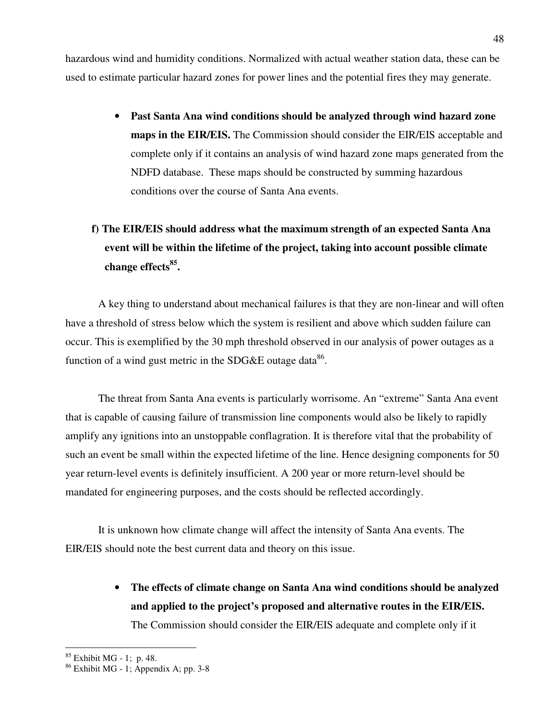hazardous wind and humidity conditions. Normalized with actual weather station data, these can be used to estimate particular hazard zones for power lines and the potential fires they may generate.

> • **Past Santa Ana wind conditions should be analyzed through wind hazard zone maps in the EIR/EIS.** The Commission should consider the EIR/EIS acceptable and complete only if it contains an analysis of wind hazard zone maps generated from the NDFD database. These maps should be constructed by summing hazardous conditions over the course of Santa Ana events.

# **f) The EIR/EIS should address what the maximum strength of an expected Santa Ana event will be within the lifetime of the project, taking into account possible climate change effects<sup>85</sup> .**

A key thing to understand about mechanical failures is that they are non-linear and will often have a threshold of stress below which the system is resilient and above which sudden failure can occur. This is exemplified by the 30 mph threshold observed in our analysis of power outages as a function of a wind gust metric in the SDG&E outage data<sup>86</sup>.

The threat from Santa Ana events is particularly worrisome. An "extreme" Santa Ana event that is capable of causing failure of transmission line components would also be likely to rapidly amplify any ignitions into an unstoppable conflagration. It is therefore vital that the probability of such an event be small within the expected lifetime of the line. Hence designing components for 50 year return-level events is definitely insufficient. A 200 year or more return-level should be mandated for engineering purposes, and the costs should be reflected accordingly.

It is unknown how climate change will affect the intensity of Santa Ana events. The EIR/EIS should note the best current data and theory on this issue.

> • **The effects of climate change on Santa Ana wind conditions should be analyzed and applied to the project's proposed and alternative routes in the EIR/EIS.**  The Commission should consider the EIR/EIS adequate and complete only if it

 $85$  Exhibit MG - 1; p. 48.

 $86$  Exhibit MG - 1; Appendix A; pp. 3-8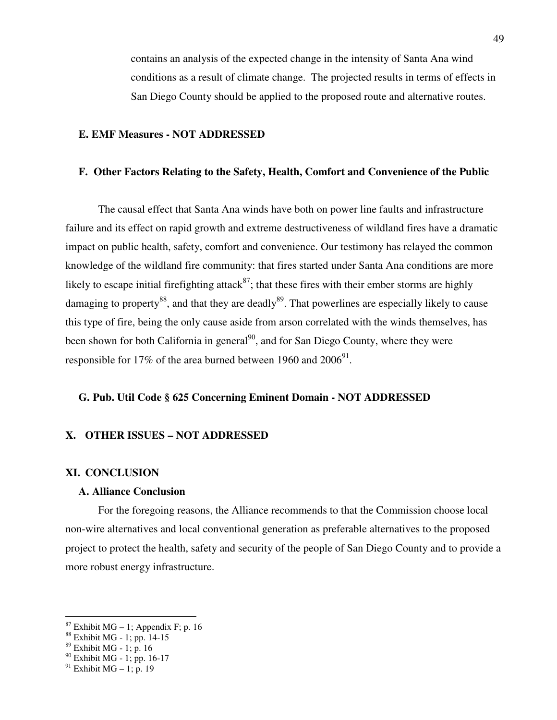contains an analysis of the expected change in the intensity of Santa Ana wind conditions as a result of climate change. The projected results in terms of effects in San Diego County should be applied to the proposed route and alternative routes.

#### **E. EMF Measures - NOT ADDRESSED**

#### **F. Other Factors Relating to the Safety, Health, Comfort and Convenience of the Public**

The causal effect that Santa Ana winds have both on power line faults and infrastructure failure and its effect on rapid growth and extreme destructiveness of wildland fires have a dramatic impact on public health, safety, comfort and convenience. Our testimony has relayed the common knowledge of the wildland fire community: that fires started under Santa Ana conditions are more likely to escape initial firefighting attack<sup>87</sup>; that these fires with their ember storms are highly damaging to property<sup>88</sup>, and that they are deadly<sup>89</sup>. That powerlines are especially likely to cause this type of fire, being the only cause aside from arson correlated with the winds themselves, has been shown for both California in general<sup>90</sup>, and for San Diego County, where they were responsible for 17% of the area burned between 1960 and  $2006^{91}$ .

#### **G. Pub. Util Code § 625 Concerning Eminent Domain - NOT ADDRESSED**

#### **X. OTHER ISSUES – NOT ADDRESSED**

#### **XI. CONCLUSION**

#### **A. Alliance Conclusion**

For the foregoing reasons, the Alliance recommends to that the Commission choose local non-wire alternatives and local conventional generation as preferable alternatives to the proposed project to protect the health, safety and security of the people of San Diego County and to provide a more robust energy infrastructure.

 $87$  Exhibit MG – 1; Appendix F; p. 16

<sup>88</sup> Exhibit MG - 1; pp. 14-15

<sup>89</sup> Exhibit MG - 1; p. 16

<sup>&</sup>lt;sup>90</sup> Exhibit MG - 1; pp. 16-17

 $91$  Exhibit MG – 1; p. 19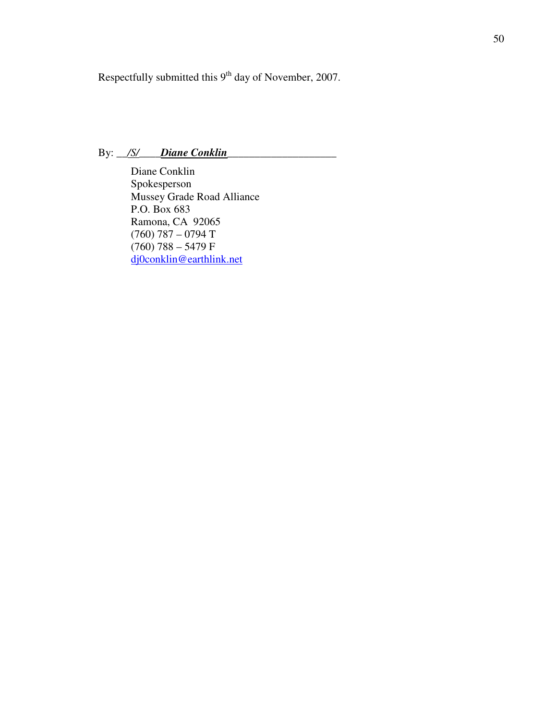Respectfully submitted this 9<sup>th</sup> day of November, 2007.

### By: <u>/S/ Diane Conklin</u>

 Diane Conklin Spokesperson Mussey Grade Road Alliance P.O. Box 683 Ramona, CA 92065 (760) 787 – 0794 T  $(760)$  788 – 5479 F dj0conklin@earthlink.net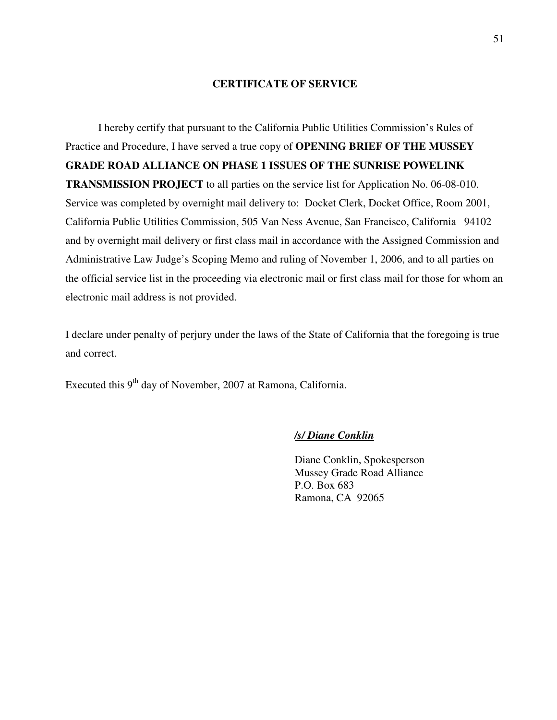#### **CERTIFICATE OF SERVICE**

 I hereby certify that pursuant to the California Public Utilities Commission's Rules of Practice and Procedure, I have served a true copy of **OPENING BRIEF OF THE MUSSEY GRADE ROAD ALLIANCE ON PHASE 1 ISSUES OF THE SUNRISE POWELINK TRANSMISSION PROJECT** to all parties on the service list for Application No. 06-08-010. Service was completed by overnight mail delivery to: Docket Clerk, Docket Office, Room 2001, California Public Utilities Commission, 505 Van Ness Avenue, San Francisco, California 94102 and by overnight mail delivery or first class mail in accordance with the Assigned Commission and Administrative Law Judge's Scoping Memo and ruling of November 1, 2006, and to all parties on the official service list in the proceeding via electronic mail or first class mail for those for whom an electronic mail address is not provided.

I declare under penalty of perjury under the laws of the State of California that the foregoing is true and correct.

Executed this  $9<sup>th</sup>$  day of November, 2007 at Ramona, California.

#### */s/ Diane Conklin*

 Diane Conklin, Spokesperson Mussey Grade Road Alliance P.O. Box 683 Ramona, CA 92065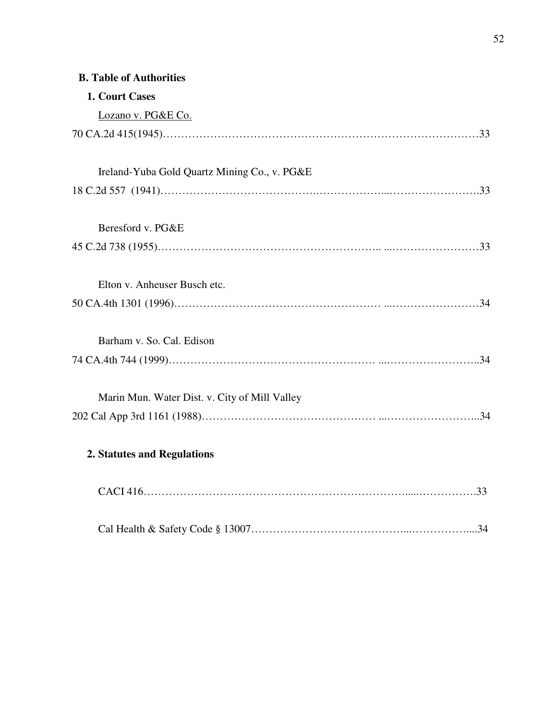## **B. Table of Authorities**

| 1. Court Cases                                |  |
|-----------------------------------------------|--|
| Lozano v. PG&E Co.                            |  |
|                                               |  |
| Ireland-Yuba Gold Quartz Mining Co., v. PG&E  |  |
| Beresford v. PG&E                             |  |
|                                               |  |
| Elton v. Anheuser Busch etc.                  |  |
| Barham v. So. Cal. Edison                     |  |
|                                               |  |
| Marin Mun. Water Dist. v. City of Mill Valley |  |
| 2. Statutes and Regulations                   |  |
|                                               |  |
|                                               |  |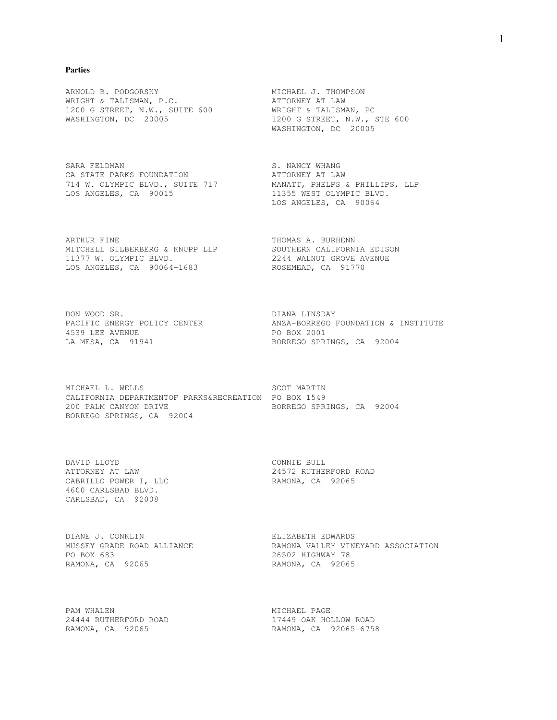#### **Parties**

ARNOLD B. PODGORSKY MICHAEL J. THOMPSON WRIGHT & TALISMAN, P.C. ATTORNEY AT LAW 1200 G STREET, N.W., SUITE 600 WRIGHT & TALISMAN, PC WASHINGTON, DC 20005 1200 G STREET, N.W., STE 600

SARA FELDMAN S. NANCY WHANG CA STATE PARKS FOUNDATION CAN ATTORNEY AT LAW 714 W. OLYMPIC BLVD., SUITE 717 MANATT, PHELPS & PHILLIPS, LLP LOS ANGELES, CA 90015 11355 WEST OLYMPIC BLVD.

ARTHUR FINE THOMAS A. BURHENN MITCHELL SILBERBERG & KNUPP LLP SOUTHERN CALIFORNIA EDISON 11377 W. OLYMPIC BLVD. 2244 WALNUT GROVE AVENUE LOS ANGELES, CA 90064-1683 ROSEMEAD, CA 91770

DON WOOD SR. DIANA LINSDAY 4539 LEE AVENUE PO BOX 2001

MICHAEL L. WELLS SCOT MARTIN CALIFORNIA DEPARTMENTOF PARKS&RECREATION PO BOX 1549 200 PALM CANYON DRIVE BORREGO SPRINGS, CA 92004 BORREGO SPRINGS, CA 92004

DAVID LLOYD CONNIE BULL CABRILLO POWER I, LLC<br>RAMONA, CA 92065 4600 CARLSBAD BLVD. CARLSBAD, CA 92008

DIANE J. CONKLIN ELIZABETH EDWARDS PO BOX 683 26502 HIGHWAY 78 RAMONA, CA 92065 RAMONA, CA 92065

PAM WHALEN NICHAEL PAGE

MASHINGTON, DC 20005

LOS ANGELES, CA 90064

ANZA-BORREGO FOUNDATION & INSTITUTE LA MESA, CA 91941 BORREGO SPRINGS, CA 92004

ATTORNEY AT LAW 24572 RUTHERFORD ROAD

MUSSEY GRADE ROAD ALLIANCE RAMONA VALLEY VINEYARD ASSOCIATION

24444 RUTHERFORD ROAD 17449 OAK HOLLOW ROAD RAMONA, CA 92065 RAMONA, CA 92065-6758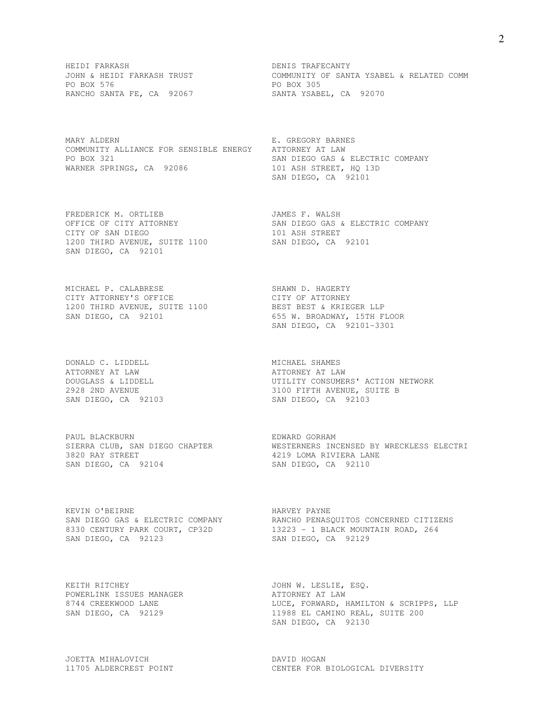HEIDI FARKASH DENIS TRAFECANTY PO BOX 576 PO BOX 305 RANCHO SANTA FE, CA 92067 SANTA YSABEL, CA 92070

MARY ALDERN BARNES COMMUNITY ALLIANCE FOR SENSIBLE ENERGY ATTORNEY AT LAW PO BOX 321 SAN DIEGO GAS & ELECTRIC COMPANY WARNER SPRINGS, CA 92086 101 ASH STREET, HQ 13D

FREDERICK M. ORTLIEB **South A. A. A. A. S. A. A. A.** JAMES F. WALSH CITY OF SAN DIEGO 101 ASH STREET 1200 THIRD AVENUE, SUITE 1100 SAN DIEGO, CA 92101 SAN DIEGO, CA 92101

MICHAEL P. CALABRESE SHAWN D. HAGERTY CITY ATTORNEY'S OFFICE THE CONTROL CITY OF ATTORNEY 1200 THIRD AVENUE, SUITE 1100 BEST BEST & KRIEGER LLP SAN DIEGO, CA 92101 655 W. BROADWAY, 15TH FLOOR

DONALD C. LIDDELL **MICHAEL SHAMES** ATTORNEY AT LAW ATTORNEY AT LAW

PAUL BLACKBURN **EDWARD** GORHAM 3820 RAY STREET 4219 LOMA RIVIERA LANE SAN DIEGO, CA 92104 SAN DIEGO, CA 92110

KEVIN O'BEIRNE **HARVEY PAYNE** SAN DIEGO, CA 92123 SAN DIEGO, CA 92129

KEITH RITCHEY **Example 2012 12:30 SEPT ATTER** JOHN W. LESLIE, ESQ. POWERLINK ISSUES MANAGER ATTORNEY AT LAW

JOETTA MIHALOVICH DAVID HOGAN

COMMUNITY OF SANTA YSABEL & RELATED COMM<br>PO BOX 305

SAN DIEGO, CA 92101

OFFICE OF CITY ATTORNEY SAN DIEGO GAS & ELECTRIC COMPANY

SAN DIEGO, CA 92101-3301

DOUGLASS & LIDDELL UTILITY CONSUMERS' ACTION NETWORK 2928 2ND AVENUE 3100 FIFTH AVENUE, SUITE B SAN DIEGO, CA 92103 SAN DIEGO, CA 92103

SIERRA CLUB, SAN DIEGO CHAPTER WESTERNERS INCENSED BY WRECKLESS ELECTRI

SAN DIEGO GAS & ELECTRIC COMPANY RANCHO PENASQUITOS CONCERNED CITIZENS 8330 CENTURY PARK COURT, CP32D 13223 - 1 BLACK MOUNTAIN ROAD, 264

8744 CREEKWOOD LANE LUCE, FORWARD, HAMILTON & SCRIPPS, LLP SAN DIEGO, CA 92129 11988 EL CAMINO REAL, SUITE 200 SAN DIEGO, CA 92130

11705 ALDERCREST POINT 11705 CENTER FOR BIOLOGICAL DIVERSITY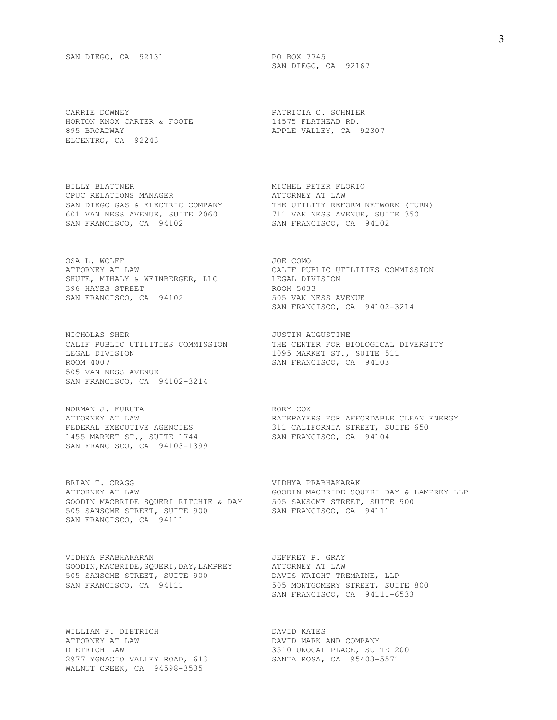CARRIE DOWNEY PATRICIA C. SCHNIER HORTON KNOX CARTER & FOOTE 14575 FLATHEAD RD. 895 BROADWAY **APPLE VALLEY, CA** 92307 ELCENTRO, CA 92243

BILLY BLATTNER MANAGER MESS MICHEL PETER FLORIO CPUC RELATIONS MANAGER SERVICES AND ATTORNEY AT LAW CPUC RELATIONS MANAGER **ATTORNEY AT LAW** 601 VAN NESS AVENUE, SUITE 2060 711 VAN NESS AVENUE, SUITE 350 SAN FRANCISCO, CA 94102 SAN FRANCISCO, CA 94102

OSA L. WOLFF JOE COMO SHUTE, MIHALY & WEINBERGER, LLC LEGAL DIVISION 396 HAYES STREET ROOM 5033 SAN FRANCISCO, CA 94102 505 VAN NESS AVENUE

NICHOLAS SHER JUSTIN AUGUSTINE LEGAL DIVISION 1095 MARKET ST., SUITE 511 ROOM 4007 SAN FRANCISCO, CA 94103 505 VAN NESS AVENUE SAN FRANCISCO, CA 94102-3214

NORMAN J. FURUTA RORY COX 1455 MARKET ST., SUITE 1744 SAN FRANCISCO, CA 94104 SAN FRANCISCO, CA 94103-1399

BRIAN T. CRAGG SAN SAN SERIAN TERREST WIDHYA PRABHAKARAK GOODIN MACBRIDE SQUERI RITCHIE & DAY 505 SANSOME STREET, SUITE 900 505 SANSOME STREET, SUITE 900 SAN FRANCISCO, CA 94111 SAN FRANCISCO, CA 94111

VIDHYA PRABHAKARAN JEFFREY P. GRAY GOODIN, MACBRIDE, SQUERI, DAY, LAMPREY ATTORNEY AT LAW 505 SANSOME STREET, SUITE 900 DAVIS WRIGHT TREMAINE, LLP SAN FRANCISCO, CA 94111 505 MONTGOMERY STREET, SUITE 800

WILLIAM F. DIETRICH DAVID KATES ATTORNEY AT LAW DAVID MARK AND COMPANY DIETRICH LAW 3510 UNOCAL PLACE, SUITE 200 2977 YGNACIO VALLEY ROAD, 613 SANTA ROSA, CA 95403-5571 WALNUT CREEK, CA 94598-3535

SAN DIEGO, CA 92167

SAN DIEGO GAS & ELECTRIC COMPANY THE UTILITY REFORM NETWORK (TURN)

ATTORNEY AT LAW<br>
SHUTE, MIHALY & WEINBERGER, LLC<br>
396 HAYES STREET<br>
A LEGAL DIVISION<br>
ROOM 5033<br>
ROOM 5033 SAN FRANCISCO, CA 94102-3214

CALIF PUBLIC UTILITIES COMMISSION THE CENTER FOR BIOLOGICAL DIVERSITY

ATTORNEY AT LAW RATEPAYERS FOR AFFORDABLE CLEAN ENERGY FEDERAL EXECUTIVE AGENCIES 311 CALIFORNIA STREET, SUITE 650

ATTORNEY AT LAW GOODIN MACBRIDE SQUERI DAY & LAMPREY LLP

SAN FRANCISCO, CA 94111-6533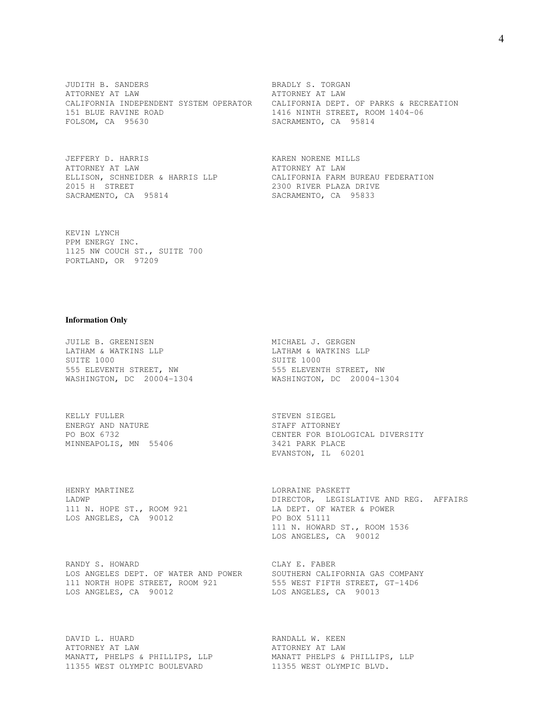JUDITH B. SANDERS BRADLY S. TORGAN ATTORNEY AT LAW ATTORNEY AT LAW CALIFORNIA INDEPENDENT SYSTEM OPERATOR CALIFORNIA DEPT. OF PARKS & RECREATION 151 BLUE RAVINE ROAD 1416 NINTH STREET, ROOM 1404-06 FOLSOM, CA 95630 SACRAMENTO, CA 95814

JEFFERY D. HARRIS **KAREN NORENE MILLS** ATTORNEY AT LAW ATTORNEY AT LAW 2015 H STREET 2300 RIVER PLAZA DRIVE SACRAMENTO, CA 95814 SACRAMENTO, CA 95833

ELLISON, SCHNEIDER & HARRIS LLP<br>
2015 H STREET 2300 RIVER PLAZA DRIVE

KEVIN LYNCH PPM ENERGY INC. 1125 NW COUCH ST., SUITE 700 PORTLAND, OR 97209

#### **Information Only**

JUILE B. GREENISEN MICHAEL J. GERGEN LATHAM & WATKINS LLP LATHAM & WATKINS LLP SUITE 1000 SUITE 1000 555 ELEVENTH STREET, NW 555 ELEVENTH STREET, NW

KELLY FULLER STEVEN SIEGEL ENERGY AND NATURE **STAFF ATTORNEY** MINNEAPOLIS, MN 55406 3421 PARK PLACE

HENRY MARTINEZ **LORRAINE PASKETT** LOS ANGELES, CA 90012

RANDY S. HOWARD CLAY E. FABER LOS ANGELES DEPT. OF WATER AND POWER SOUTHERN CALIFORNIA GAS COMPANY 111 NORTH HOPE STREET, ROOM 921 555 WEST FIFTH STREET, GT-14D6 LOS ANGELES, CA 90012 LOS ANGELES, CA 90013

DAVID L. HUARD **RANDALL W. KEEN** ATTORNEY AT LAW ATTORNEY AT LAW MANATT, PHELPS & PHILLIPS, LLP MANATT PHELPS & PHILLIPS, LLP 11355 WEST OLYMPIC BOULEVARD 11355 WEST OLYMPIC BLVD.

WASHINGTON, DC 20004-1304 WASHINGTON, DC 20004-1304

PO BOX 6732 CENTER FOR BIOLOGICAL DIVERSITY EVANSTON, IL 60201

LADWP DIRECTOR, LEGISLATIVE AND REG. AFFAIRS LADWP<br>111 N. HOPE ST., ROOM 921 LA DEPT. OF WATER & POWER<br>LOS ANGELES, CA 90012 LA PO BOX 51111 111 N. HOWARD ST., ROOM 1536 LOS ANGELES, CA 90012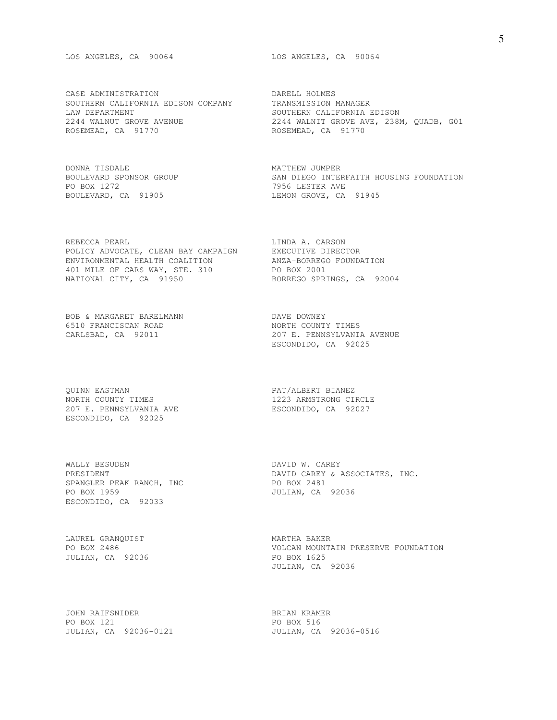LOS ANGELES, CA 90064 LOS ANGELES, CA 90064

CASE ADMINISTRATION DARELL HOLMES SOUTHERN CALIFORNIA EDISON COMPANY TRANSMISSION MANAGER LAW DEPARTMENT<br>2244 WALNUT GROVE AVENUE ROSEMEAD, CA 91770 ROSEMEAD, CA 91770

DONNA TISDALE<br>BOULEVARD SPONSOR GROUP<br>DO DOV 1070 PO BOX 1272 7956 LESTER AVE BOULEVARD, CA 91905

REBECCA PEARL **LINDA A. CARSON** POLICY ADVOCATE, CLEAN BAY CAMPAIGN EXECUTIVE DIRECTOR ENVIRONMENTAL HEALTH COALITION ANZA-BORREGO FOUNDATION 401 MILE OF CARS WAY, STE. 310 PO BOX 2001 NATIONAL CITY, CA 91950 BORREGO SPRINGS, CA 92004

BOB & MARGARET BARELMANN DAVE DOWNEY 6510 FRANCISCAN ROAD NORTH COUNTY TIMES CARLSBAD, CA 92011 207 E. PENNSYLVANI

QUINN EASTMAN PAT/ALBERT BIANEZ NORTH COUNTY TIMES **1223 ARMSTRONG CIRCLE** 207 E. PENNSYLVANIA AVE ESCONDIDO, CA 92027 ESCONDIDO, CA 92025

WALLY BESUDEN DAVID W. CAREY SPANGLER PEAK RANCH, INC 80000 PO BOX 2481 PO BOX 1959 JULIAN, CA 92036 ESCONDIDO, CA 92033

LAUREL GRANQUIST **MARTHA BAKER** JULIAN, CA 92036 PO BOX 1625

JOHN RAIFSNIDER BRIAN KRAMER PO BOX 121 PO BOX 516

2244 WALNUT GROVE AVENUE 2244 WALNIT GROVE AVE, 238M, QUADB, G01

SAN DIEGO INTERFAITH HOUSING FOUNDATION

207 E. PENNSYLVANIA AVENUE ESCONDIDO, CA 92025

PRESIDENT DAVID CAREY & ASSOCIATES, INC.

PO BOX 2486 VOLCAN MOUNTAIN PRESERVE FOUNDATION JULIAN, CA 92036

JULIAN, CA 92036-0121 JULIAN, CA 92036-0516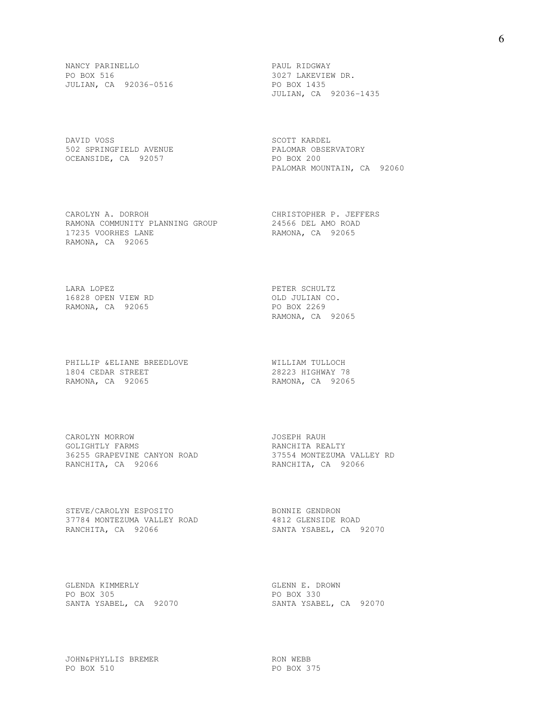NANCY PARINELLO PAUL RIDGWAY PO BOX 516 3027 LAKEVIEW DR. JULIAN, CA 92036-0516 PO BOX 1435

DAVID VOSS SERIES SON SERIES SON SOUT ANNEL 502 SPRINGFIELD AVENUE PALOMAR OBSERVATORY OCEANSIDE, CA 92057 PO BOX 200

CAROLYN A. DORROH CHRISTOPHER P. JEFFERS<br>
RAMONA COMMUNITY PLANNING GROUP 24566 DEL AMO ROAD RAMONA COMMUNITY PLANNING GROUP 17235 VOORHES LANE RAMONA, CA 92065 RAMONA, CA 92065

LARA LOPEZ **PETER SCHULTZ** 16828 OPEN VIEW RD OLD JULIAN CO. RAMONA, CA 92065 PO BOX 2269

PHILLIP &ELIANE BREEDLOVE WILLIAM TULLOCH 1804 CEDAR STREET 28223 HIGHWAY 78 RAMONA, CA 92065 RAMONA, CA 92065

CAROLYN MORROW JOSEPH RAUH GOLIGHTLY FARMS **EXAMPLE ASSESSED ASSESSED FOR A PART AND RANCHITA REALTY** 36255 GRAPEVINE CANYON ROAD 37554 MONTEZUMA VALLEY RD RANCHITA, CA 92066 RANCHITA, CA 92066

STEVE/CAROLYN ESPOSITO BONNIE GENDRON 37784 MONTEZUMA VALLEY ROAD 4812 GLENSIDE ROAD RANCHITA, CA 92066 SANTA YSABEL, CA 92070

JULIAN, CA 92036-1435

PALOMAR MOUNTAIN, CA 92060

RAMONA, CA 92065

GLENDA KIMMERLY GLENN E. DROWN PO BOX 305 PO BOX 330

SANTA YSABEL, CA 92070 SANTA YSABEL, CA 92070

JOHN&PHYLLIS BREMER RON WEBB PO BOX 510 PO BOX 375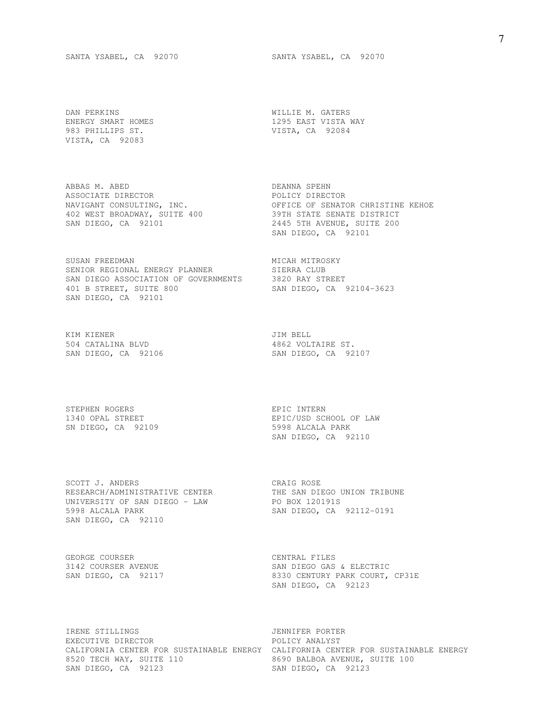DAN PERKINS WILLIE M. GATERS 983 PHILLIPS ST. VISTA, CA 92084 VISTA, CA 92083

ABBAS M. ABED DEANNA SPEHN ASSOCIATE DIRECTOR **Example 2018** POLICY DIRECTOR 402 WEST BROADWAY, SUITE 400 39TH STATE SENATE DISTRICT

SUSAN FREEDMAN MICAH MITROSKY SENIOR REGIONAL ENERGY PLANNER SIERRA CLUB SAN DIEGO ASSOCIATION OF GOVERNMENTS 3820 RAY STREET 401 B STREET, SUITE 800 SAN DIEGO, CA 92104-3623 401 B STREET, SUITE 800<br>SAN DIEGO, CA 92101

KIM KIENER **GREEK EEN SEER OOSTERE GEE** 504 CATALINA BLVD 4862 VOLTAIRE ST.

STEPHEN ROGERS **EPIC INTERN** SN DIEGO, CA 92109 5998 ALCALA PARK

SCOTT J. ANDERS CRAIG ROSE RESEARCH/ADMINISTRATIVE CENTER THE SAN DIEGO UNION TRIBUNE UNIVERSITY OF SAN DIEGO - LAW PO BOX 120191S 5998 ALCALA PARK SAN DIEGO, CA 92112-0191 SAN DIEGO, CA 92110

GEORGE COURSER CENTRAL FILES

ENERGY SMART HOMES 1295 EAST VISTA WAY

NAVIGANT CONSULTING, INC. THE SELL OF SENATOR CHRISTINE KEHOE SAN DIEGO, CA 92101 2445 5TH AVENUE, SUITE 200 SAN DIEGO, CA 92101

SAN DIEGO, CA 92106 SAN DIEGO, CA 92107

1340 OPAL STREET EPIC/USD SCHOOL OF LAW SAN DIEGO, CA 92110

3142 COURSER AVENUE SAN DIEGO GAS & ELECTRIC SAN DIEGO, CA 92117 8330 CENTURY PARK COURT, CP31E SAN DIEGO, CA 92123

IRENE STILLINGS JENNIFER PORTER EXECUTIVE DIRECTOR **POLICY ANALYST** CALIFORNIA CENTER FOR SUSTAINABLE ENERGY CALIFORNIA CENTER FOR SUSTAINABLE ENERGY 8520 TECH WAY, SUITE 110 8690 BALBOA AVENUE, SUITE 100 SAN DIEGO, CA 92123 SAN DIEGO, CA 92123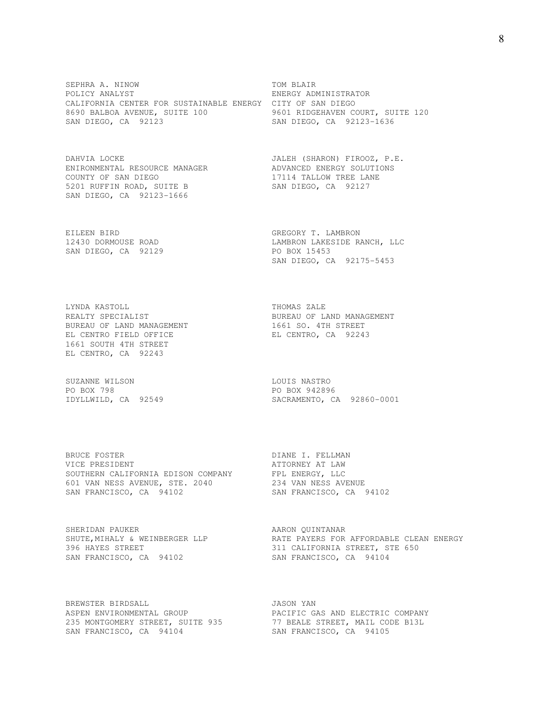SEPHRA A. NINOW TOM BLAIR POLICY ANALYST **ENERGY ADMINISTRATOR** CALIFORNIA CENTER FOR SUSTAINABLE ENERGY CITY OF SAN DIEGO 8690 BALBOA AVENUE, SUITE 100 9601 RIDGEHAVEN COURT, SUITE 120 SAN DIEGO, CA 92123 SAN DIEGO, CA 92123-1636

ENIRONMENTAL RESOURCE MANAGER COUNTY OF SAN DIEGO 17114 TALLOW TREE LANE 5201 RUFFIN ROAD, SUITE B SAN DIEGO, CA 92127 SAN DIEGO, CA 92123-1666

EILEEN BIRD GREGORY T. LAMBRON SAN DIEGO, CA 92129 PO BOX 15453

LYNDA KASTOLL **THOMAS ZALE** BUREAU OF LAND MANAGEMENT 1661 SO. 4TH STREET EL CENTRO FIELD OFFICE EL CENTRO, CA 92243 1661 SOUTH 4TH STREET EL CENTRO, CA 92243

SUZANNE WILSON **LOUIS NASTRO** PO BOX 798 PO BOX 942896

BRUCE FOSTER DIANE I. FELLMAN VICE PRESIDENT **ATTORNEY AT LAW** SOUTHERN CALIFORNIA EDISON COMPANY FPL ENERGY, LLC 601 VAN NESS AVENUE, STE. 2040 234 VAN NESS AVENUE SAN FRANCISCO, CA 94102 SAN FRANCISCO, CA 94102

SHERIDAN PAUKER **AARON QUINTANAR** SAN FRANCISCO, CA 94102 SAN FRANCISCO, CA 94104

BREWSTER BIRDSALL **GEERGE SEE ALS ALS AND SERVIT AS A SE** SAN FRANCISCO, CA 94104 SAN FRANCISCO, CA 94105

DAHVIA LOCKE JALEH (SHARON) FIROOZ, P.E.

12430 DORMOUSE ROAD LAMBRON LAKESIDE RANCH, LLC SAN DIEGO, CA 92175-5453

REALTY SPECIALIST **BUREAU OF LAND MANAGEMENT** 

IDYLLWILD, CA 92549 SACRAMENTO, CA 92860-0001

SHUTE, MIHALY & WEINBERGER LLP **RATE PAYERS FOR AFFORDABLE CLEAN ENERGY** 396 HAYES STREET **311 CALIFORNIA STREET**, STE 650

ASPEN ENVIRONMENTAL GROUP **EXAMPLE PACIFIC GAS AND ELECTRIC COMPANY** 235 MONTGOMERY STREET, SUITE 935 77 BEALE STREET, MAIL CODE B13L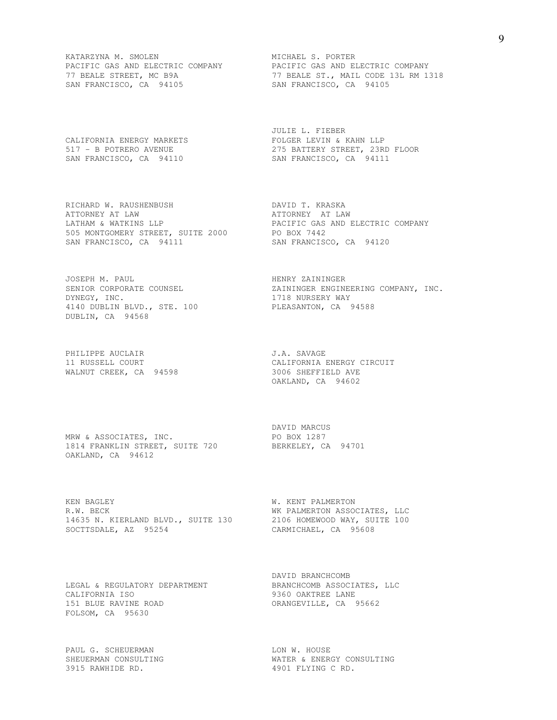KATARZYNA M. SMOLEN MICHAEL S. PORTER SAN FRANCISCO, CA 94105 SAN FRANCISCO, CA 94105

RICHARD W. RAUSHENBUSH DAVID T. KRASKA ATTORNEY AT LAW ATTORNEY AT LAW LATHAM & WATKINS LLP PACIFIC GAS AND ELECTRIC COMPANY 505 MONTGOMERY STREET, SUITE 2000 PO BOX 7442 SAN FRANCISCO, CA 94111 SAN FRANCISCO, CA 94120

JOSEPH M. PAUL **HENRY ZAININGER** DYNEGY, INC. 2718 NURSERY WAY 4140 DUBLIN BLVD., STE. 100 PLEASANTON, CA 94588 DUBLIN, CA 94568

PHILIPPE AUCLAIR **J.A. SAVAGE** WALNUT CREEK, CA 94598 3006 SHEFFIELD AVE

MRW & ASSOCIATES, INC. PO BOX 1287 1814 FRANKLIN STREET, SUITE 720 BERKELEY, CA 94701 OAKLAND, CA 94612

KEN BAGLEY **W. KENT PALMERTON** R.W. BECK SECOND SECOND WK PALMERTON ASSOCIATES, LLC 14635 N. KIERLAND BLVD., SUITE 130 2106 HOMEWOOD WAY, SUITE 100 SOCTTSDALE, AZ 95254 CARMICHAEL, CA 95608

CALIFORNIA ISO 9360 OAKTREE LANE 151 BLUE RAVINE ROAD **ORANGEVILLE, CA** 95662 FOLSOM, CA 95630

PAUL G. SCHEUERMAN LON W. HOUSE 3915 RAWHIDE RD. 4901 FLYING C RD.

PACIFIC GAS AND ELECTRIC COMPANY PACIFIC GAS AND ELECTRIC COMPANY 77 BEALE STREET, MC B9A 77 BEALE ST., MAIL CODE 13L RM 1318

 JULIE L. FIEBER CALIFORNIA ENERGY MARKETS FOLGER LEVIN & KAHN LLP 517 - B POTRERO AVENUE 275 BATTERY STREET, 23RD FLOOR SAN FRANCISCO, CA 94110 SAN FRANCISCO, CA 94111

SENIOR CORPORATE COUNSEL **EXAGGINEER ENGINEERING COMPANY, INC.** 

11 RUSSELL COURT CALIFORNIA ENERGY CIRCUIT OAKLAND, CA 94602

DAVID MARCUS

 DAVID BRANCHCOMB LEGAL & REGULATORY DEPARTMENT BRANCHCOMB ASSOCIATES, LLC

SHEUERMAN CONSULTING WATER & ENERGY CONSULTING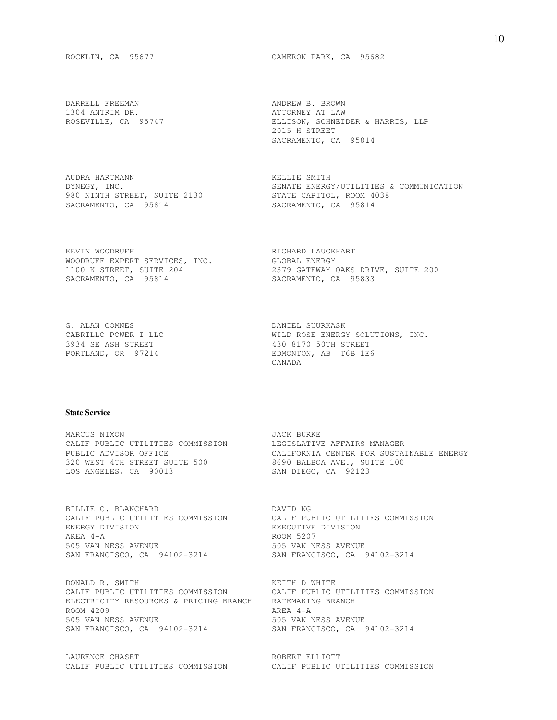DARRELL FREEMAN **ANDREW B. BROWN** 1304 ANTRIM DR. ATTORNEY AT LAW

AUDRA HARTMANN KELLIE SMITH 980 NINTH STREET, SUITE 2130 STATE CAPITOL, ROOM 4038 SACRAMENTO, CA 95814 SACRAMENTO, CA 95814

KEVIN WOODRUFF **RICHARD LAUCKHART** WOODRUFF EXPERT SERVICES, INC. GLOBAL ENERGY SACRAMENTO, CA 95814 SACRAMENTO, CA 95833

G. ALAN COMNES DANIEL SUURKASK

ROCKLIN, CA 95677 CAMERON PARK, CA 95682

ELLISON, SCHNEIDER & HARRIS, LLP 2015 H STREET SACRAMENTO, CA 95814

DYNEGY, INC. SENATE ENERGY/UTILITIES & COMMUNICATION

1100 K STREET, SUITE 204 2379 GATEWAY OAKS DRIVE, SUITE 200

CABRILLO POWER I LLC WILD ROSE ENERGY SOLUTIONS, INC. 3934 SE ASH STREET 430 8170 50TH STREET PORTLAND, OR 97214 EDMONTON, AB T6B 1E6 CANADA

#### **State Service**

MARCUS NIXON GARAGE SERVICE SURVEY AND TACK BURKE CALIF PUBLIC UTILITIES COMMISSION LEGISLATIVE AFFAIRS MANAGER 320 WEST 4TH STREET SUITE 500 8690 BALBOA AVE., SUITE 100<br>320 WEST 4TH STREET SUITE 500 8690 BALBOA AVE., SUITE 100 LOS ANGELES, CA 90013 SAN DIEGO, CA 92123

PUBLIC ADVISOR OFFICE CALIFORNIA CENTER FOR SUSTAINABLE ENERGY

BILLIE C. BLANCHARD<br>
CALIF PUBLIC UTILITIES CONSIST CALIF PUBLIC UTILITIES COMMISSION CALIF PUBLIC UTILITIES COMMISSION ENERGY DIVISION EXECUTIVE DIVISION AREA 4-A ROOM 5207 505 VAN NESS AVENUE 505 VAN NESS AVENUE SAN FRANCISCO, CA 94102-3214 SAN FRANCISCO, CA 94102-3214

DONALD R. SMITH **KEITH D WHITE** CALIF PUBLIC UTILITIES COMMISSION CALIF PUBLIC UTILITIES COMMISSION ELECTRICITY RESOURCES & PRICING BRANCH RATEMAKING BRANCH ROOM 4209 AREA 4-A 505 VAN NESS AVENUE 505 VAN NESS AVENUE SAN FRANCISCO, CA 94102-3214 SAN FRANCISCO, CA 94102-3214

LAURENCE CHASET **ROBERT ELLIOTT** CALIF PUBLIC UTILITIES COMMISSION CALIF PUBLIC UTILITIES COMMISSION